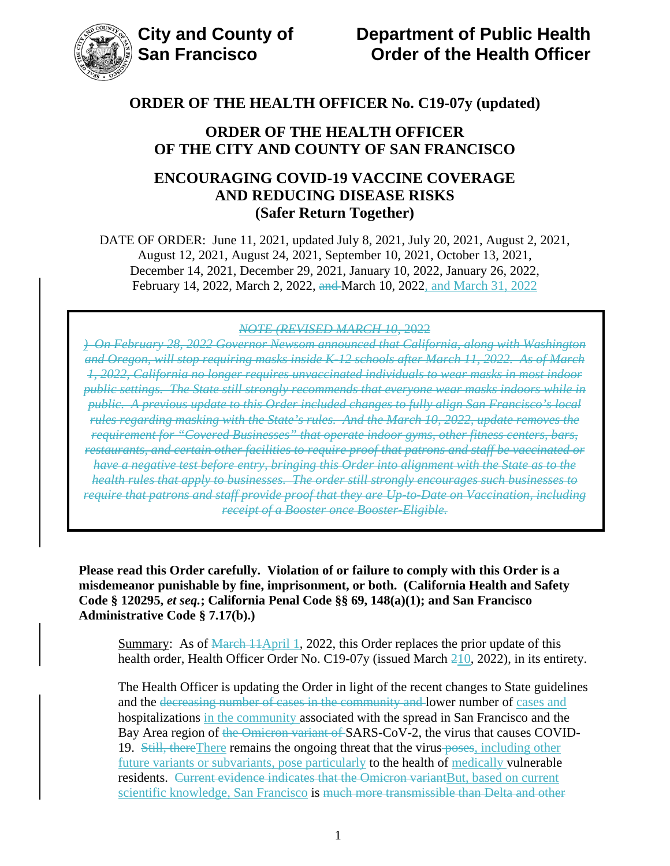## **ORDER OF THE HEALTH OFFICER OF THE CITY AND COUNTY OF SAN FRANCISCO**

## **ENCOURAGING COVID-19 VACCINE COVERAGE AND REDUCING DISEASE RISKS (Safer Return Together)**

DATE OF ORDER: June 11, 2021, updated July 8, 2021, July 20, 2021, August 2, 2021, August 12, 2021, August 24, 2021, September 10, 2021, October 13, 2021, December 14, 2021, December 29, 2021, January 10, 2022, January 26, 2022, February 14, 2022, March 2, 2022, and March 10, 2022, and March 31, 2022

#### *NOTE (REVISED MARCH 10*, 2022

*) On February 28, 2022 Governor Newsom announced that California, along with Washington and Oregon, will stop requiring masks inside K-12 schools after March 11, 2022. As of March 1, 2022, California no longer requires unvaccinated individuals to wear masks in most indoor public settings. The State still strongly recommends that everyone wear masks indoors while in public. A previous update to this Order included changes to fully align San Francisco's local rules regarding masking with the State's rules. And the March 10, 2022, update removes the requirement for "Covered Businesses" that operate indoor gyms, other fitness centers, bars, restaurants, and certain other facilities to require proof that patrons and staff be vaccinated or have a negative test before entry, bringing this Order into alignment with the State as to the health rules that apply to businesses. The order still strongly encourages such businesses to require that patrons and staff provide proof that they are Up-to-Date on Vaccination, including receipt of a Booster once Booster-Eligible.* 

**Please read this Order carefully. Violation of or failure to comply with this Order is a misdemeanor punishable by fine, imprisonment, or both. (California Health and Safety Code § 120295,** *et seq.***; California Penal Code §§ 69, 148(a)(1); and San Francisco Administrative Code § 7.17(b).)**

Summary: As of March 11April 1, 2022, this Order replaces the prior update of this health order, Health Officer Order No. C19-07y (issued March 210, 2022), in its entirety.

The Health Officer is updating the Order in light of the recent changes to State guidelines and the decreasing number of cases in the community and lower number of cases and hospitalizations in the community associated with the spread in San Francisco and the Bay Area region of the Omicron variant of SARS-CoV-2, the virus that causes COVID-19. Still, there There remains the ongoing threat that the virus poses, including other future variants or subvariants, pose particularly to the health of medically vulnerable residents. Current evidence indicates that the Omicron variantBut, based on current scientific knowledge, San Francisco is much more transmissible than Delta and other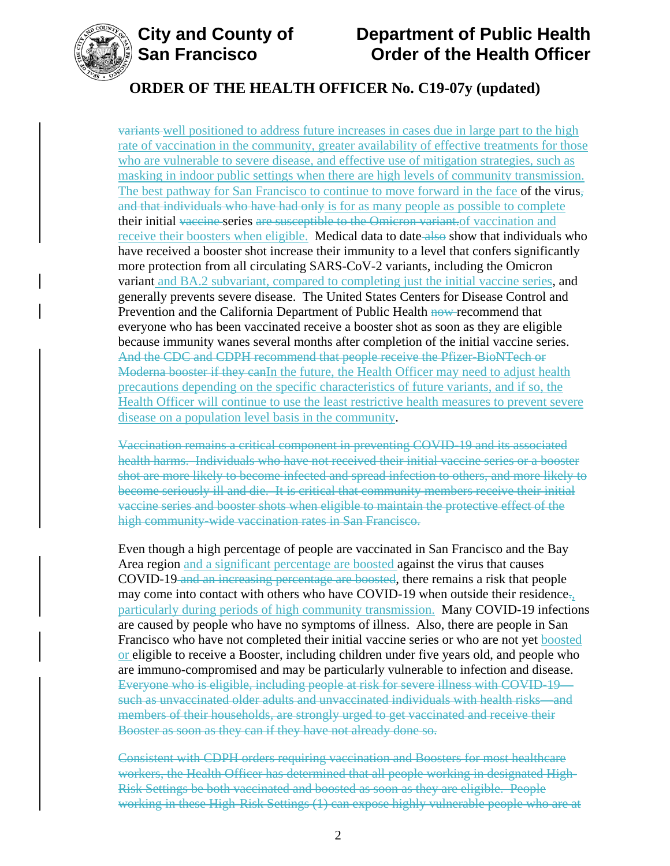

## **ORDER OF THE HEALTH OFFICER No. C19-07y (updated)**

variants well positioned to address future increases in cases due in large part to the high rate of vaccination in the community, greater availability of effective treatments for those who are vulnerable to severe disease, and effective use of mitigation strategies, such as masking in indoor public settings when there are high levels of community transmission. The best pathway for San Francisco to continue to move forward in the face of the virus, and that individuals who have had only is for as many people as possible to complete their initial vaccine series are susceptible to the Omicron variant.of vaccination and receive their boosters when eligible. Medical data to date also show that individuals who have received a booster shot increase their immunity to a level that confers significantly more protection from all circulating SARS-CoV-2 variants, including the Omicron variant and BA.2 subvariant, compared to completing just the initial vaccine series, and generally prevents severe disease. The United States Centers for Disease Control and Prevention and the California Department of Public Health now-recommend that everyone who has been vaccinated receive a booster shot as soon as they are eligible because immunity wanes several months after completion of the initial vaccine series. And the CDC and CDPH recommend that people receive the Pfizer-BioNTech or Moderna booster if they canIn the future, the Health Officer may need to adjust health precautions depending on the specific characteristics of future variants, and if so, the Health Officer will continue to use the least restrictive health measures to prevent severe disease on a population level basis in the community.

Vaccination remains a critical component in preventing COVID-19 and its associated health harms. Individuals who have not received their initial vaccine series or a booster shot are more likely to become infected and spread infection to others, and more likely to become seriously ill and die. It is critical that community members receive their initial vaccine series and booster shots when eligible to maintain the protective effect of the high community-wide vaccination rates in San Francisco.

Even though a high percentage of people are vaccinated in San Francisco and the Bay Area region and a significant percentage are boosted against the virus that causes COVID-19 and an increasing percentage are boosted, there remains a risk that people may come into contact with others who have COVID-19 when outside their residence. particularly during periods of high community transmission. Many COVID-19 infections are caused by people who have no symptoms of illness. Also, there are people in San Francisco who have not completed their initial vaccine series or who are not yet boosted or eligible to receive a Booster, including children under five years old, and people who are immuno-compromised and may be particularly vulnerable to infection and disease. Everyone who is eligible, including people at risk for severe illness with COVID-19 such as unvaccinated older adults and unvaccinated individuals with health risks—and members of their households, are strongly urged to get vaccinated and receive their Booster as soon as they can if they have not already done so.

Consistent with CDPH orders requiring vaccination and Boosters for most healthcare workers, the Health Officer has determined that all people working in designated High-Risk Settings be both vaccinated and boosted as soon as they are eligible. People working in these High-Risk Settings (1) can expose highly vulnerable people who are at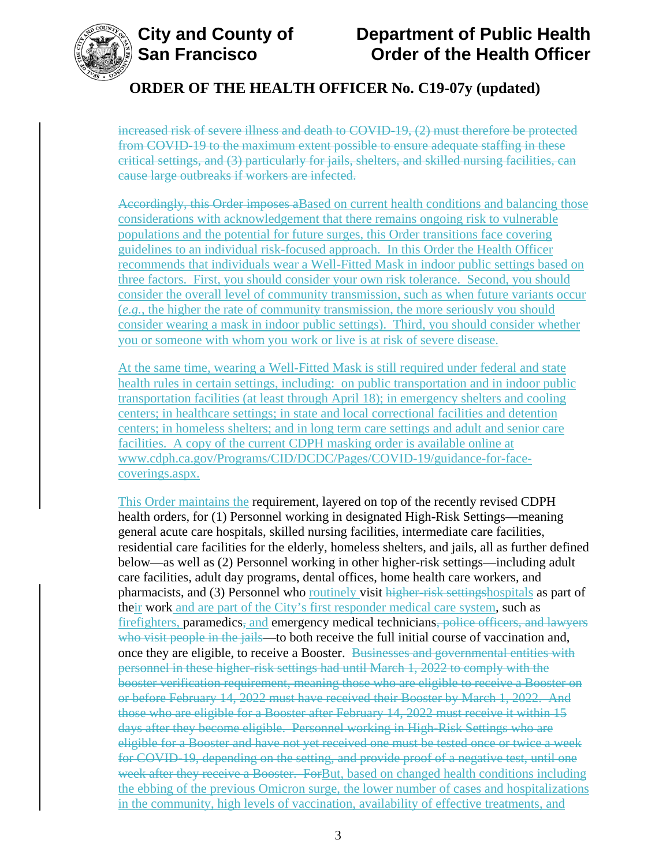

# **ORDER OF THE HEALTH OFFICER No. C19-07y (updated)**

increased risk of severe illness and death to COVID-19, (2) must therefore be protected from COVID-19 to the maximum extent possible to ensure adequate staffing in these critical settings, and (3) particularly for jails, shelters, and skilled nursing facilities, can cause large outbreaks if workers are infected.

Accordingly, this Order imposes a Based on current health conditions and balancing those considerations with acknowledgement that there remains ongoing risk to vulnerable populations and the potential for future surges, this Order transitions face covering guidelines to an individual risk-focused approach. In this Order the Health Officer recommends that individuals wear a Well-Fitted Mask in indoor public settings based on three factors. First, you should consider your own risk tolerance. Second, you should consider the overall level of community transmission, such as when future variants occur (*e.g.*, the higher the rate of community transmission, the more seriously you should consider wearing a mask in indoor public settings). Third, you should consider whether you or someone with whom you work or live is at risk of severe disease.

At the same time, wearing a Well-Fitted Mask is still required under federal and state health rules in certain settings, including: on public transportation and in indoor public transportation facilities (at least through April 18); in emergency shelters and cooling centers; in healthcare settings; in state and local correctional facilities and detention centers; in homeless shelters; and in long term care settings and adult and senior care facilities. A copy of the current CDPH masking order is available online at [www.cdph.ca.gov/Programs/CID/DCDC/Pages/COVID-19/guidance-for-face](https://www.cdph.ca.gov/Programs/CID/DCDC/Pages/COVID-19/guidance-for-face-coverings.aspx)[coverings.aspx.](https://www.cdph.ca.gov/Programs/CID/DCDC/Pages/COVID-19/guidance-for-face-coverings.aspx)

This Order maintains the requirement, layered on top of the recently revised CDPH health orders, for (1) Personnel working in designated High-Risk Settings—meaning general acute care hospitals, skilled nursing facilities, intermediate care facilities, residential care facilities for the elderly, homeless shelters, and jails, all as further defined below—as well as (2) Personnel working in other higher-risk settings—including adult care facilities, adult day programs, dental offices, home health care workers, and pharmacists, and (3) Personnel who routinely visit higher-risk settingshospitals as part of their work and are part of the City's first responder medical care system, such as firefighters, paramedics, and emergency medical technicians, police officers, and lawyers who visit people in the jails—to both receive the full initial course of vaccination and, once they are eligible, to receive a Booster. Businesses and governmental entities with personnel in these higher-risk settings had until March 1, 2022 to comply with the booster verification requirement, meaning those who are eligible to receive a Booster on or before February 14, 2022 must have received their Booster by March 1, 2022. And those who are eligible for a Booster after February 14, 2022 must receive it within 15 days after they become eligible. Personnel working in High-Risk Settings who are eligible for a Booster and have not yet received one must be tested once or twice a week for COVID-19, depending on the setting, and provide proof of a negative test, until one week after they receive a Booster. For But, based on changed health conditions including the ebbing of the previous Omicron surge, the lower number of cases and hospitalizations in the community, high levels of vaccination, availability of effective treatments, and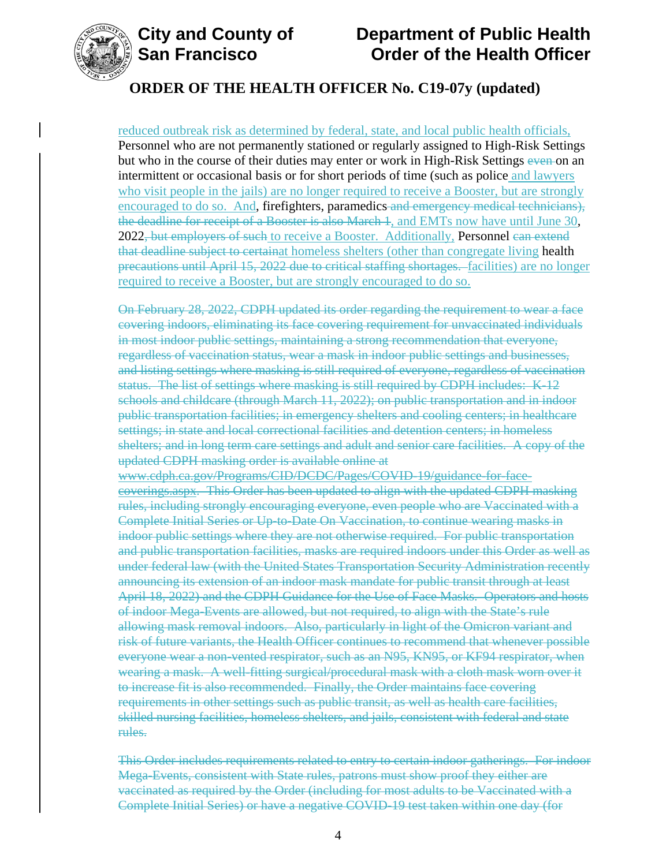

## **ORDER OF THE HEALTH OFFICER No. C19-07y (updated)**

reduced outbreak risk as determined by federal, state, and local public health officials, Personnel who are not permanently stationed or regularly assigned to High-Risk Settings but who in the course of their duties may enter or work in High-Risk Settings even on an intermittent or occasional basis or for short periods of time (such as police and lawyers who visit people in the jails) are no longer required to receive a Booster, but are strongly encouraged to do so. And, firefighters, paramedics and emergency medical technicians), the deadline for receipt of a Booster is also March 1, and EMTs now have until June 30, 2022<del>, but employers of such</del> to receive a Booster. Additionally, **Personnel can extend** that deadline subject to certainat homeless shelters (other than congregate living health precautions until April 15, 2022 due to critical staffing shortages. facilities) are no longer required to receive a Booster, but are strongly encouraged to do so.

On February 28, 2022, CDPH updated its order regarding the requirement to wear a face covering indoors, eliminating its face covering requirement for unvaccinated individuals in most indoor public settings, maintaining a strong recommendation that everyone, regardless of vaccination status, wear a mask in indoor public settings and businesses, and listing settings where masking is still required of everyone, regardless of vaccination status. The list of settings where masking is still required by CDPH includes: K-12 schools and childcare (through March 11, 2022); on public transportation and in indoor public transportation facilities; in emergency shelters and cooling centers; in healthcare settings; in state and local correctional facilities and detention centers; in homeless shelters; and in long term care settings and adult and senior care facilities. A copy of the updated CDPH masking order is available online at

www.cdph.ca.gov/Programs/CID/DCDC/Pages/COVID-19/guidance-for-facecoverings.aspx. This Order has been updated to align with the updated CDPH masking rules, including strongly encouraging everyone, even people who are Vaccinated with a Complete Initial Series or Up-to-Date On Vaccination, to continue wearing masks in indoor public settings where they are not otherwise required. For public transportation and public transportation facilities, masks are required indoors under this Order as well as under federal law (with the United States Transportation Security Administration recently announcing its extension of an indoor mask mandate for public transit through at least April 18, 2022) and the CDPH Guidance for the Use of Face Masks. Operators and hosts of indoor Mega-Events are allowed, but not required, to align with the State's rule allowing mask removal indoors. Also, particularly in light of the Omicron variant and risk of future variants, the Health Officer continues to recommend that whenever possible everyone wear a non-vented respirator, such as an N95, KN95, or KF94 respirator, when wearing a mask. A well-fitting surgical/procedural mask with a cloth mask worn over it to increase fit is also recommended. Finally, the Order maintains face covering requirements in other settings such as public transit, as well as health care facilities, skilled nursing facilities, homeless shelters, and jails, consistent with federal and state rules.

This Order includes requirements related to entry to certain indoor gatherings. For indoor Mega-Events, consistent with State rules, patrons must show proof they either are vaccinated as required by the Order (including for most adults to be Vaccinated with a Complete Initial Series) or have a negative COVID-19 test taken within one day (for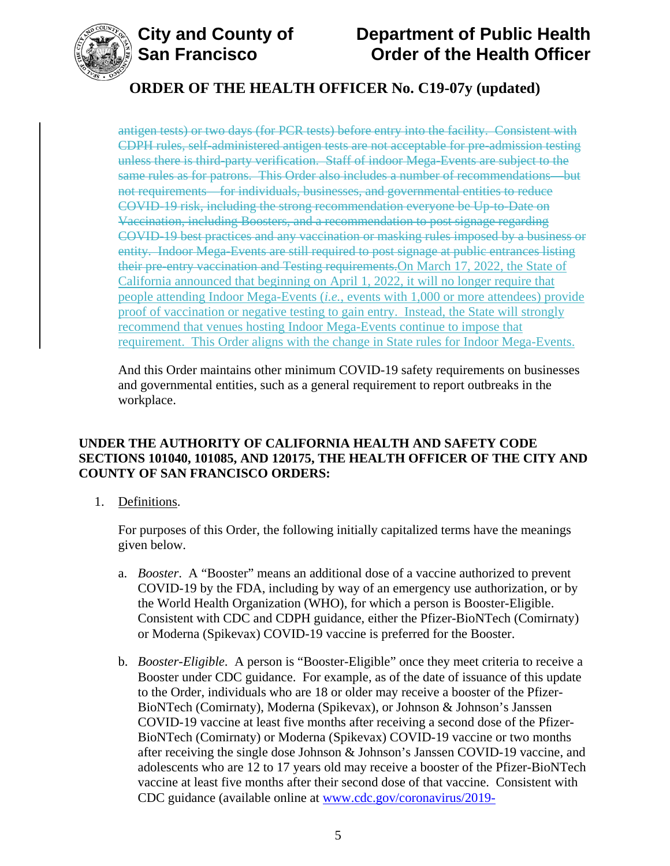

# **ORDER OF THE HEALTH OFFICER No. C19-07y (updated)**

antigen tests) or two days (for PCR tests) before entry into the facility. Consistent with CDPH rules, self-administered antigen tests are not acceptable for pre-admission testing unless there is third-party verification. Staff of indoor Mega-Events are subject to the same rules as for patrons. This Order also includes a number of recommendations—but not requirements—for individuals, businesses, and governmental entities to reduce COVID-19 risk, including the strong recommendation everyone be Up-to-Date on Vaccination, including Boosters, and a recommendation to post signage regarding COVID-19 best practices and any vaccination or masking rules imposed by a business or entity. Indoor Mega-Events are still required to post signage at public entrances listing their pre-entry vaccination and Testing requirements.On March 17, 2022, the State of California announced that beginning on April 1, 2022, it will no longer require that people attending Indoor Mega-Events (*i.e.*, events with 1,000 or more attendees) provide proof of vaccination or negative testing to gain entry. Instead, the State will strongly recommend that venues hosting Indoor Mega-Events continue to impose that requirement. This Order aligns with the change in State rules for Indoor Mega-Events.

And this Order maintains other minimum COVID-19 safety requirements on businesses and governmental entities, such as a general requirement to report outbreaks in the workplace.

### **UNDER THE AUTHORITY OF CALIFORNIA HEALTH AND SAFETY CODE SECTIONS 101040, 101085, AND 120175, THE HEALTH OFFICER OF THE CITY AND COUNTY OF SAN FRANCISCO ORDERS:**

1. Definitions.

For purposes of this Order, the following initially capitalized terms have the meanings given below.

- a. *Booster*. A "Booster" means an additional dose of a vaccine authorized to prevent COVID-19 by the FDA, including by way of an emergency use authorization, or by the World Health Organization (WHO), for which a person is Booster-Eligible. Consistent with CDC and CDPH guidance, either the Pfizer-BioNTech (Comirnaty) or Moderna (Spikevax) COVID-19 vaccine is preferred for the Booster.
- b. *Booster-Eligible*. A person is "Booster-Eligible" once they meet criteria to receive a Booster under CDC guidance. For example, as of the date of issuance of this update to the Order, individuals who are 18 or older may receive a booster of the Pfizer-BioNTech (Comirnaty), Moderna (Spikevax), or Johnson & Johnson's Janssen COVID-19 vaccine at least five months after receiving a second dose of the Pfizer-BioNTech (Comirnaty) or Moderna (Spikevax) COVID-19 vaccine or two months after receiving the single dose Johnson & Johnson's Janssen COVID-19 vaccine, and adolescents who are 12 to 17 years old may receive a booster of the Pfizer-BioNTech vaccine at least five months after their second dose of that vaccine. Consistent with CDC guidance (available online at [www.cdc.gov/coronavirus/2019-](https://www.cdc.gov/coronavirus/2019-ncov/vaccines/booster-shot.html)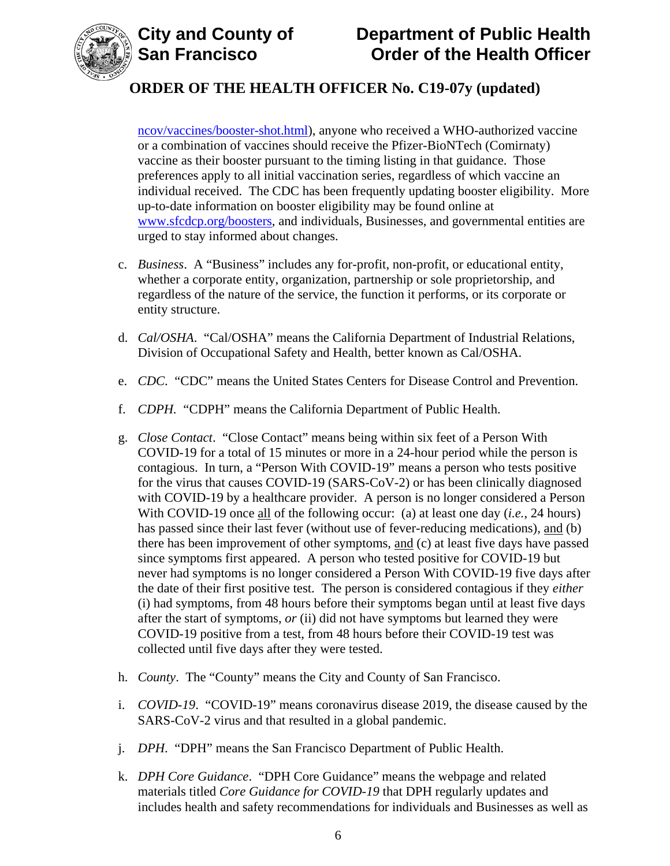

[ncov/vaccines/booster-shot.html\)](https://www.cdc.gov/coronavirus/2019-ncov/vaccines/booster-shot.html), anyone who received a WHO-authorized vaccine or a combination of vaccines should receive the Pfizer-BioNTech (Comirnaty) vaccine as their booster pursuant to the timing listing in that guidance. Those preferences apply to all initial vaccination series, regardless of which vaccine an individual received. The CDC has been frequently updating booster eligibility. More up-to-date information on booster eligibility may be found online at [www.sfcdcp.org/boosters,](https://www.sfcdcp.org/boosters) and individuals, Businesses, and governmental entities are urged to stay informed about changes.

- c. *Business*. A "Business" includes any for-profit, non-profit, or educational entity, whether a corporate entity, organization, partnership or sole proprietorship, and regardless of the nature of the service, the function it performs, or its corporate or entity structure.
- d. *Cal/OSHA*. "Cal/OSHA" means the California Department of Industrial Relations, Division of Occupational Safety and Health, better known as Cal/OSHA.
- e. *CDC*. "CDC" means the United States Centers for Disease Control and Prevention.
- f. *CDPH.* "CDPH" means the California Department of Public Health.
- g. *Close Contact*. "Close Contact" means being within six feet of a Person With COVID-19 for a total of 15 minutes or more in a 24-hour period while the person is contagious. In turn, a "Person With COVID-19" means a person who tests positive for the virus that causes COVID-19 (SARS-CoV-2) or has been clinically diagnosed with COVID-19 by a healthcare provider. A person is no longer considered a Person With COVID-19 once all of the following occur: (a) at least one day (*i.e.*, 24 hours) has passed since their last fever (without use of fever-reducing medications), and (b) there has been improvement of other symptoms, and (c) at least five days have passed since symptoms first appeared. A person who tested positive for COVID-19 but never had symptoms is no longer considered a Person With COVID-19 five days after the date of their first positive test. The person is considered contagious if they *either* (i) had symptoms, from 48 hours before their symptoms began until at least five days after the start of symptoms, *or* (ii) did not have symptoms but learned they were COVID-19 positive from a test, from 48 hours before their COVID-19 test was collected until five days after they were tested.
- h. *County*. The "County" means the City and County of San Francisco.
- i. *COVID-19*. "COVID-19" means coronavirus disease 2019, the disease caused by the SARS-CoV-2 virus and that resulted in a global pandemic.
- j. *DPH*. "DPH" means the San Francisco Department of Public Health.
- k. *DPH Core Guidance*. "DPH Core Guidance" means the webpage and related materials titled *Core Guidance for COVID-19* that DPH regularly updates and includes health and safety recommendations for individuals and Businesses as well as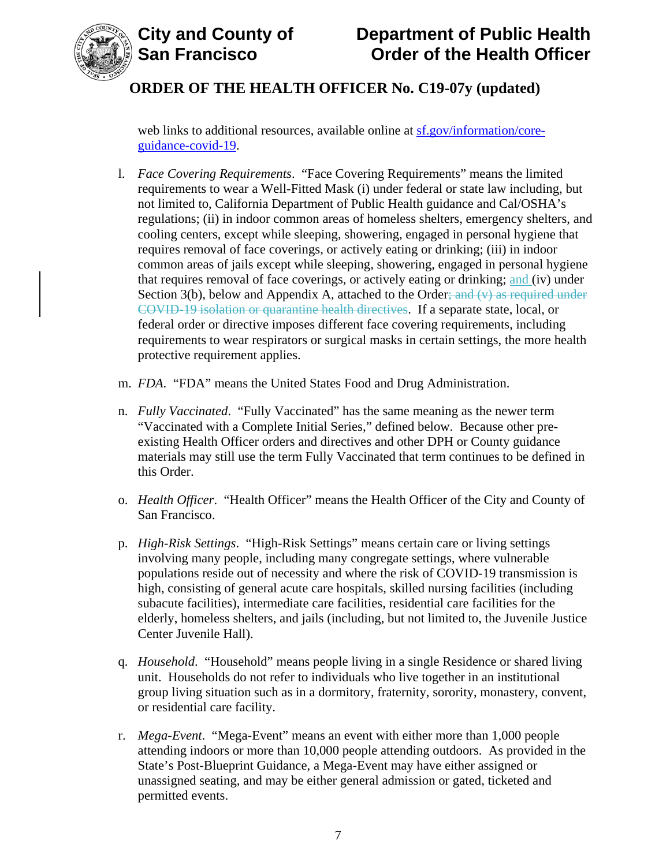

# **City and County of County of Department of Public Health<br>
San Francisco Corder of the Health Officer Order of the Health Officer**

# **ORDER OF THE HEALTH OFFICER No. C19-07y (updated)**

web links to additional resources, available online at [sf.gov/information/core](https://sf.gov/information/core-guidance-covid-19)[guidance-covid-19.](https://sf.gov/information/core-guidance-covid-19)

- l. *Face Covering Requirements*. "Face Covering Requirements" means the limited requirements to wear a Well-Fitted Mask (i) under federal or state law including, but not limited to, California Department of Public Health guidance and Cal/OSHA's regulations; (ii) in indoor common areas of homeless shelters, emergency shelters, and cooling centers, except while sleeping, showering, engaged in personal hygiene that requires removal of face coverings, or actively eating or drinking; (iii) in indoor common areas of jails except while sleeping, showering, engaged in personal hygiene that requires removal of face coverings, or actively eating or drinking; and (iv) under Section  $3(b)$ , below and Appendix A, attached to the Order; and  $(v)$  as required under COVID-19 isolation or quarantine health directives. If a separate state, local, or federal order or directive imposes different face covering requirements, including requirements to wear respirators or surgical masks in certain settings, the more health protective requirement applies.
- m. *FDA*. "FDA" means the United States Food and Drug Administration.
- n. *Fully Vaccinated*. "Fully Vaccinated" has the same meaning as the newer term "Vaccinated with a Complete Initial Series," defined below. Because other preexisting Health Officer orders and directives and other DPH or County guidance materials may still use the term Fully Vaccinated that term continues to be defined in this Order.
- o. *Health Officer*. "Health Officer" means the Health Officer of the City and County of San Francisco.
- p. *High-Risk Settings*. "High-Risk Settings" means certain care or living settings involving many people, including many congregate settings, where vulnerable populations reside out of necessity and where the risk of COVID-19 transmission is high, consisting of general acute care hospitals, skilled nursing facilities (including subacute facilities), intermediate care facilities, residential care facilities for the elderly, homeless shelters, and jails (including, but not limited to, the Juvenile Justice Center Juvenile Hall).
- q. *Household*. "Household" means people living in a single Residence or shared living unit. Households do not refer to individuals who live together in an institutional group living situation such as in a dormitory, fraternity, sorority, monastery, convent, or residential care facility.
- r. *Mega-Event*. "Mega-Event" means an event with either more than 1,000 people attending indoors or more than 10,000 people attending outdoors. As provided in the State's Post-Blueprint Guidance, a Mega-Event may have either assigned or unassigned seating, and may be either general admission or gated, ticketed and permitted events.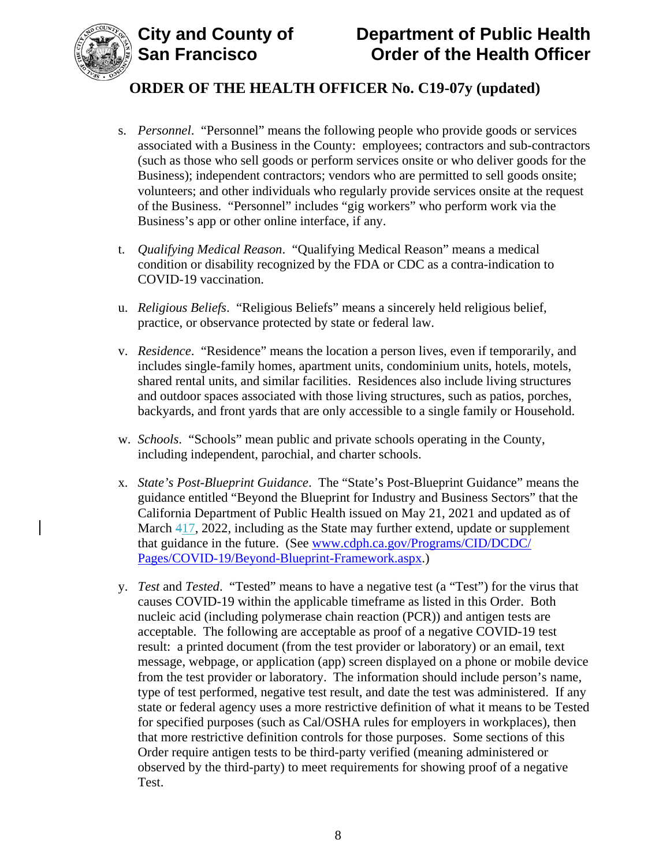

- s. *Personnel*."Personnel" means the following people who provide goods or services associated with a Business in the County: employees; contractors and sub-contractors (such as those who sell goods or perform services onsite or who deliver goods for the Business); independent contractors; vendors who are permitted to sell goods onsite; volunteers; and other individuals who regularly provide services onsite at the request of the Business. "Personnel" includes "gig workers" who perform work via the Business's app or other online interface, if any.
- t. *Qualifying Medical Reason*. "Qualifying Medical Reason" means a medical condition or disability recognized by the FDA or CDC as a contra-indication to COVID-19 vaccination.
- u. *Religious Beliefs*. "Religious Beliefs" means a sincerely held religious belief, practice, or observance protected by state or federal law.
- v. *Residence*. "Residence" means the location a person lives, even if temporarily, and includes single-family homes, apartment units, condominium units, hotels, motels, shared rental units, and similar facilities. Residences also include living structures and outdoor spaces associated with those living structures, such as patios, porches, backyards, and front yards that are only accessible to a single family or Household.
- w. *Schools*. "Schools" mean public and private schools operating in the County, including independent, parochial, and charter schools.
- x. *State's Post-Blueprint Guidance*. The "State's Post-Blueprint Guidance" means the guidance entitled "Beyond the Blueprint for Industry and Business Sectors" that the California Department of Public Health issued on May 21, 2021 and updated as of March 417, 2022, including as the State may further extend, update or supplement that guidance in the future. (See [www.cdph.ca.gov/Programs/CID/DCDC/](http://www.cdph.ca.gov/Programs/CID/DCDC/Pages/COVID-19/Beyond-Blueprint-Framework.aspx) [Pages/COVID-19/Beyond-Blueprint-Framework.aspx.](http://www.cdph.ca.gov/Programs/CID/DCDC/Pages/COVID-19/Beyond-Blueprint-Framework.aspx))
- y. *Test* and *Tested*. "Tested" means to have a negative test (a "Test") for the virus that causes COVID-19 within the applicable timeframe as listed in this Order. Both nucleic acid (including polymerase chain reaction (PCR)) and antigen tests are acceptable. The following are acceptable as proof of a negative COVID-19 test result: a printed document (from the test provider or laboratory) or an email, text message, webpage, or application (app) screen displayed on a phone or mobile device from the test provider or laboratory. The information should include person's name, type of test performed, negative test result, and date the test was administered. If any state or federal agency uses a more restrictive definition of what it means to be Tested for specified purposes (such as Cal/OSHA rules for employers in workplaces), then that more restrictive definition controls for those purposes. Some sections of this Order require antigen tests to be third-party verified (meaning administered or observed by the third-party) to meet requirements for showing proof of a negative Test.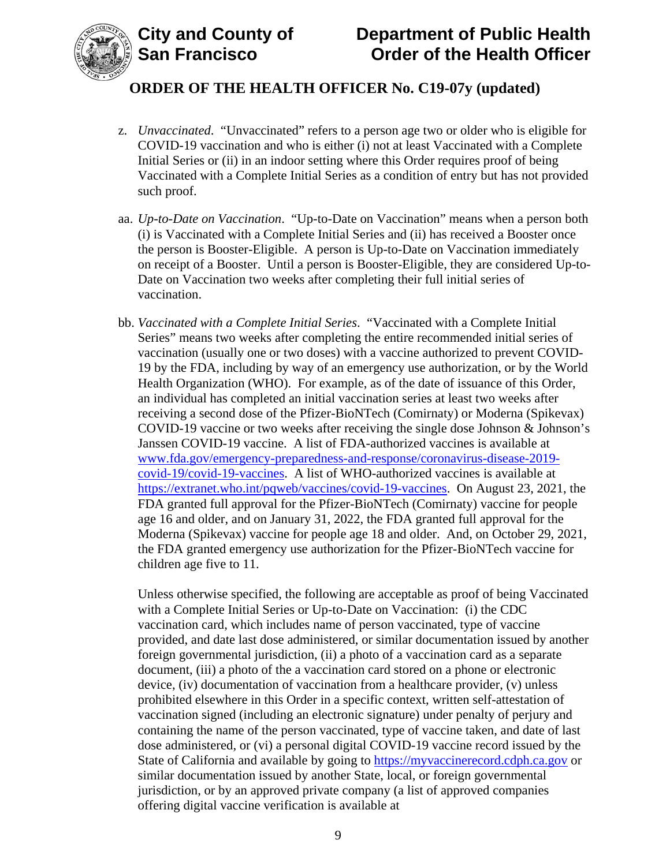

- z. *Unvaccinated*. "Unvaccinated" refers to a person age two or older who is eligible for COVID-19 vaccination and who is either (i) not at least Vaccinated with a Complete Initial Series or (ii) in an indoor setting where this Order requires proof of being Vaccinated with a Complete Initial Series as a condition of entry but has not provided such proof.
- aa. *Up-to-Date on Vaccination*. "Up-to-Date on Vaccination" means when a person both (i) is Vaccinated with a Complete Initial Series and (ii) has received a Booster once the person is Booster-Eligible. A person is Up-to-Date on Vaccination immediately on receipt of a Booster. Until a person is Booster-Eligible, they are considered Up-to-Date on Vaccination two weeks after completing their full initial series of vaccination.
- bb. *Vaccinated with a Complete Initial Series*. "Vaccinated with a Complete Initial Series" means two weeks after completing the entire recommended initial series of vaccination (usually one or two doses) with a vaccine authorized to prevent COVID-19 by the FDA, including by way of an emergency use authorization, or by the World Health Organization (WHO). For example, as of the date of issuance of this Order, an individual has completed an initial vaccination series at least two weeks after receiving a second dose of the Pfizer-BioNTech (Comirnaty) or Moderna (Spikevax) COVID-19 vaccine or two weeks after receiving the single dose Johnson & Johnson's Janssen COVID-19 vaccine. A list of FDA-authorized vaccines is available at [www.fda.gov/emergency-preparedness-and-response/coronavirus-disease-2019](https://www.fda.gov/emergency-preparedness-and-response/coronavirus-disease-2019-covid-19/covid-19-vaccines) [covid-19/covid-19-vaccines.](https://www.fda.gov/emergency-preparedness-and-response/coronavirus-disease-2019-covid-19/covid-19-vaccines) A list of WHO-authorized vaccines is available at [https://extranet.who.int/pqweb/vaccines/covid-19-vaccines.](https://extranet.who.int/pqweb/vaccines/covid-19-vaccines) On August 23, 2021, the FDA granted full approval for the Pfizer-BioNTech (Comirnaty) vaccine for people age 16 and older, and on January 31, 2022, the FDA granted full approval for the Moderna (Spikevax) vaccine for people age 18 and older. And, on October 29, 2021, the FDA granted emergency use authorization for the Pfizer-BioNTech vaccine for children age five to 11.

Unless otherwise specified, the following are acceptable as proof of being Vaccinated with a Complete Initial Series or Up-to-Date on Vaccination: (i) the CDC vaccination card, which includes name of person vaccinated, type of vaccine provided, and date last dose administered, or similar documentation issued by another foreign governmental jurisdiction, (ii) a photo of a vaccination card as a separate document, (iii) a photo of the a vaccination card stored on a phone or electronic device, (iv) documentation of vaccination from a healthcare provider, (v) unless prohibited elsewhere in this Order in a specific context, written self-attestation of vaccination signed (including an electronic signature) under penalty of perjury and containing the name of the person vaccinated, type of vaccine taken, and date of last dose administered, or (vi) a personal digital COVID-19 vaccine record issued by the State of California and available by going to [https://myvaccinerecord.cdph.ca.gov](https://myvaccinerecord.cdph.ca.gov/) or similar documentation issued by another State, local, or foreign governmental jurisdiction, or by an approved private company (a list of approved companies offering digital vaccine verification is available at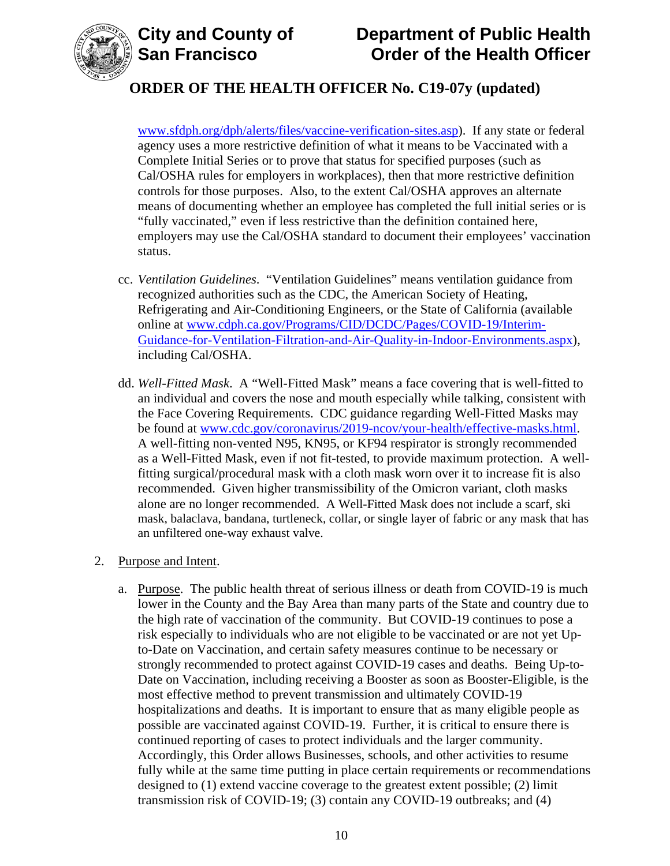

# **ORDER OF THE HEALTH OFFICER No. C19-07y (updated)**

[www.sfdph.org/dph/alerts/files/vaccine-verification-sites.asp\)](https://www.sfdph.org/dph/alerts/files/vaccine-verification-sites.asp). If any state or federal agency uses a more restrictive definition of what it means to be Vaccinated with a Complete Initial Series or to prove that status for specified purposes (such as Cal/OSHA rules for employers in workplaces), then that more restrictive definition controls for those purposes. Also, to the extent Cal/OSHA approves an alternate means of documenting whether an employee has completed the full initial series or is "fully vaccinated," even if less restrictive than the definition contained here, employers may use the Cal/OSHA standard to document their employees' vaccination status.

- cc. *Ventilation Guidelines*. "Ventilation Guidelines" means ventilation guidance from recognized authorities such as the CDC, the American Society of Heating, Refrigerating and Air-Conditioning Engineers, or the State of California (available online at [www.cdph.ca.gov/Programs/CID/DCDC/Pages/COVID-19/Interim-](https://www.cdph.ca.gov/Programs/CID/DCDC/Pages/COVID-19/Interim-Guidance-for-Ventilation-Filtration-and-Air-Quality-in-Indoor-Environments.aspx)[Guidance-for-Ventilation-Filtration-and-Air-Quality-in-Indoor-Environments.aspx\)](https://www.cdph.ca.gov/Programs/CID/DCDC/Pages/COVID-19/Interim-Guidance-for-Ventilation-Filtration-and-Air-Quality-in-Indoor-Environments.aspx), including Cal/OSHA.
- dd. *Well-Fitted Mask*. A "Well-Fitted Mask" means a face covering that is well-fitted to an individual and covers the nose and mouth especially while talking, consistent with the Face Covering Requirements. CDC guidance regarding Well-Fitted Masks may be found at [www.cdc.gov/coronavirus/2019-ncov/your-health/effective-masks.html.](https://www.cdc.gov/coronavirus/2019-ncov/your-health/effective-masks.html) A well-fitting non-vented N95, KN95, or KF94 respirator is strongly recommended as a Well-Fitted Mask, even if not fit-tested, to provide maximum protection. A wellfitting surgical/procedural mask with a cloth mask worn over it to increase fit is also recommended. Given higher transmissibility of the Omicron variant, cloth masks alone are no longer recommended. A Well-Fitted Mask does not include a scarf, ski mask, balaclava, bandana, turtleneck, collar, or single layer of fabric or any mask that has an unfiltered one-way exhaust valve.

### 2. Purpose and Intent.

a. Purpose. The public health threat of serious illness or death from COVID-19 is much lower in the County and the Bay Area than many parts of the State and country due to the high rate of vaccination of the community. But COVID-19 continues to pose a risk especially to individuals who are not eligible to be vaccinated or are not yet Upto-Date on Vaccination, and certain safety measures continue to be necessary or strongly recommended to protect against COVID-19 cases and deaths. Being Up-to-Date on Vaccination, including receiving a Booster as soon as Booster-Eligible, is the most effective method to prevent transmission and ultimately COVID-19 hospitalizations and deaths. It is important to ensure that as many eligible people as possible are vaccinated against COVID-19. Further, it is critical to ensure there is continued reporting of cases to protect individuals and the larger community. Accordingly, this Order allows Businesses, schools, and other activities to resume fully while at the same time putting in place certain requirements or recommendations designed to (1) extend vaccine coverage to the greatest extent possible; (2) limit transmission risk of COVID-19; (3) contain any COVID-19 outbreaks; and (4)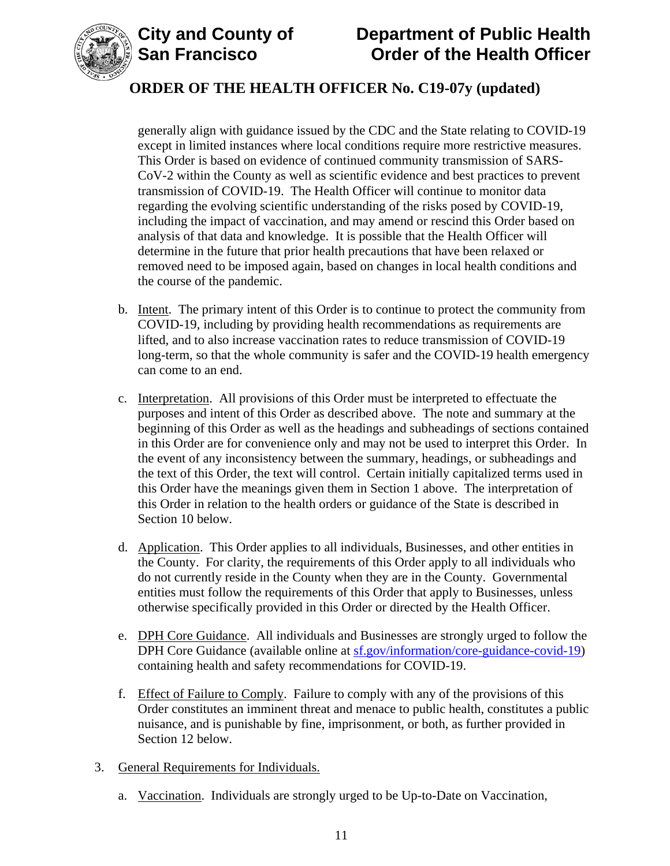



# **ORDER OF THE HEALTH OFFICER No. C19-07y (updated)**

generally align with guidance issued by the CDC and the State relating to COVID-19 except in limited instances where local conditions require more restrictive measures. This Order is based on evidence of continued community transmission of SARS-CoV-2 within the County as well as scientific evidence and best practices to prevent transmission of COVID-19. The Health Officer will continue to monitor data regarding the evolving scientific understanding of the risks posed by COVID-19, including the impact of vaccination, and may amend or rescind this Order based on analysis of that data and knowledge. It is possible that the Health Officer will determine in the future that prior health precautions that have been relaxed or removed need to be imposed again, based on changes in local health conditions and the course of the pandemic.

- b. Intent. The primary intent of this Order is to continue to protect the community from COVID-19, including by providing health recommendations as requirements are lifted, and to also increase vaccination rates to reduce transmission of COVID-19 long-term, so that the whole community is safer and the COVID-19 health emergency can come to an end.
- c. Interpretation. All provisions of this Order must be interpreted to effectuate the purposes and intent of this Order as described above. The note and summary at the beginning of this Order as well as the headings and subheadings of sections contained in this Order are for convenience only and may not be used to interpret this Order. In the event of any inconsistency between the summary, headings, or subheadings and the text of this Order, the text will control. Certain initially capitalized terms used in this Order have the meanings given them in Section 1 above. The interpretation of this Order in relation to the health orders or guidance of the State is described in Section 10 below.
- d. Application. This Order applies to all individuals, Businesses, and other entities in the County. For clarity, the requirements of this Order apply to all individuals who do not currently reside in the County when they are in the County. Governmental entities must follow the requirements of this Order that apply to Businesses, unless otherwise specifically provided in this Order or directed by the Health Officer.
- e. DPH Core Guidance. All individuals and Businesses are strongly urged to follow the DPH Core Guidance (available online at [sf.gov/information/core-guidance-covid-19\)](https://sf.gov/information/core-guidance-covid-19) containing health and safety recommendations for COVID-19.
- f. Effect of Failure to Comply. Failure to comply with any of the provisions of this Order constitutes an imminent threat and menace to public health, constitutes a public nuisance, and is punishable by fine, imprisonment, or both, as further provided in Section 12 below.
- 3. General Requirements for Individuals.
	- a. Vaccination. Individuals are strongly urged to be Up-to-Date on Vaccination,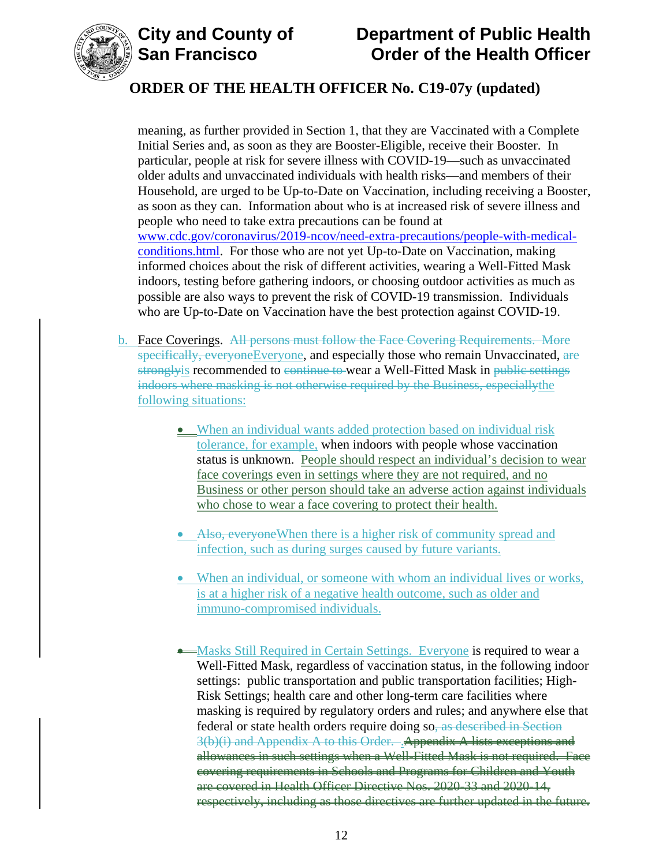



# **ORDER OF THE HEALTH OFFICER No. C19-07y (updated)**

meaning, as further provided in Section 1, that they are Vaccinated with a Complete Initial Series and, as soon as they are Booster-Eligible, receive their Booster. In particular, people at risk for severe illness with COVID-19—such as unvaccinated older adults and unvaccinated individuals with health risks—and members of their Household, are urged to be Up-to-Date on Vaccination, including receiving a Booster, as soon as they can. Information about who is at increased risk of severe illness and people who need to take extra precautions can be found at [www.cdc.gov/coronavirus/2019-ncov/need-extra-precautions/people-with-medical](https://www.cdc.gov/coronavirus/2019-ncov/need-extra-precautions/people-with-medical-conditions.html)[conditions.html.](https://www.cdc.gov/coronavirus/2019-ncov/need-extra-precautions/people-with-medical-conditions.html) For those who are not yet Up-to-Date on Vaccination, making informed choices about the risk of different activities, wearing a Well-Fitted Mask indoors, testing before gathering indoors, or choosing outdoor activities as much as possible are also ways to prevent the risk of COVID-19 transmission. Individuals who are Up-to-Date on Vaccination have the best protection against COVID-19.

- b. Face Coverings. All persons must follow the Face Covering Requirements. More specifically, everyoneEveryone, and especially those who remain Unvaccinated, are strongly is recommended to continue to wear a Well-Fitted Mask in public settings indoors where masking is not otherwise required by the Business, especiallythe following situations:
	- When an individual wants added protection based on individual risk tolerance, for example, when indoors with people whose vaccination status is unknown. People should respect an individual's decision to wear face coverings even in settings where they are not required, and no Business or other person should take an adverse action against individuals who chose to wear a face covering to protect their health.
	- Also, everyone When there is a higher risk of community spread and infection, such as during surges caused by future variants.
	- When an individual, or someone with whom an individual lives or works, is at a higher risk of a negative health outcome, such as older and immuno-compromised individuals.
	- Masks Still Required in Certain Settings. Everyone is required to wear a Well-Fitted Mask, regardless of vaccination status, in the following indoor settings: public transportation and public transportation facilities; High-Risk Settings; health care and other long-term care facilities where masking is required by regulatory orders and rules; and anywhere else that federal or state health orders require doing so, as described in Section 3(b)(i) and Appendix A to this Order. . Appendix A lists exceptions and allowances in such settings when a Well-Fitted Mask is not required. Face covering requirements in Schools and Programs for Children and Youth are covered in Health Officer Directive Nos. 2020-33 and 2020-14, respectively, including as those directives are further updated in the future.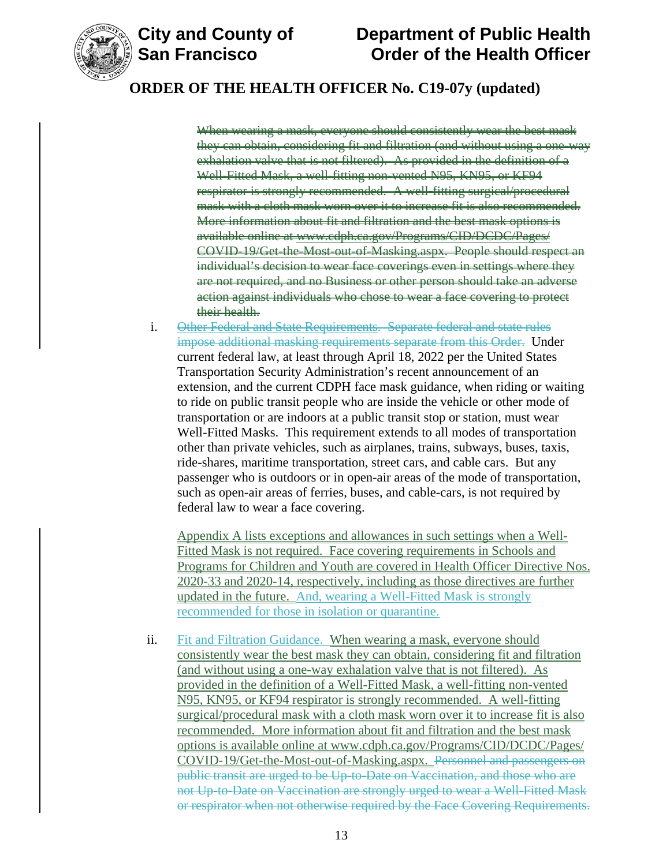

## **ORDER OF THE HEALTH OFFICER No. C19-07y (updated)**

When wearing a mask, everyone should consistently wear the best mask they can obtain, considering fit and filtration (and without using a one-way exhalation valve that is not filtered). As provided in the definition of a Well-Fitted Mask, a well-fitting non-vented N95, KN95, or KF94 respirator is strongly recommended. A well-fitting surgical/procedural mask with a cloth mask worn over it to increase fit is also recommended. More information about fit and filtration and the best mask options is available online at [www.cdph.ca.gov/Programs/CID/DCDC/Pages/](https://www.cdph.ca.gov/Programs/CID/DCDC/Pages/COVID-19/Get-the-Most-out-of-Masking.aspx) [COVID-19/Get-the-Most-out-of-Masking.aspx.](https://www.cdph.ca.gov/Programs/CID/DCDC/Pages/COVID-19/Get-the-Most-out-of-Masking.aspx) People should respect an individual's decision to wear face coverings even in settings where they are not required, and no Business or other person should take an adverse action against individuals who chose to wear a face covering to protect their health.

i. Other Federal and State Requirements. Separate federal and state rules impose additional masking requirements separate from this Order. Under current federal law, at least through April 18, 2022 per the United States Transportation Security Administration's recent announcement of an extension, and the current CDPH face mask guidance, when riding or waiting to ride on public transit people who are inside the vehicle or other mode of transportation or are indoors at a public transit stop or station, must wear Well-Fitted Masks. This requirement extends to all modes of transportation other than private vehicles, such as airplanes, trains, subways, buses, taxis, ride-shares, maritime transportation, street cars, and cable cars. But any passenger who is outdoors or in open-air areas of the mode of transportation, such as open-air areas of ferries, buses, and cable-cars, is not required by federal law to wear a face covering.

Appendix A lists exceptions and allowances in such settings when a Well-Fitted Mask is not required. Face covering requirements in Schools and Programs for Children and Youth are covered in Health Officer Directive Nos. 2020-33 and 2020-14, respectively, including as those directives are further updated in the future. And, wearing a Well-Fitted Mask is strongly recommended for those in isolation or quarantine.

ii. Fit and Filtration Guidance. When wearing a mask, everyone should consistently wear the best mask they can obtain, considering fit and filtration (and without using a one-way exhalation valve that is not filtered). As provided in the definition of a Well-Fitted Mask, a well-fitting non-vented N95, KN95, or KF94 respirator is strongly recommended. A well-fitting surgical/procedural mask with a cloth mask worn over it to increase fit is also recommended. More information about fit and filtration and the best mask options is available online at [www.cdph.ca.gov/Programs/CID/DCDC/Pages/](https://www.cdph.ca.gov/Programs/CID/DCDC/Pages/COVID-19/Get-the-Most-out-of-Masking.aspx) [COVID-19/Get-the-Most-out-of-Masking.aspx.](https://www.cdph.ca.gov/Programs/CID/DCDC/Pages/COVID-19/Get-the-Most-out-of-Masking.aspx) Personnel and passengers on public transit are urged to be Up-to-Date on Vaccination, and those who are not Up-to-Date on Vaccination are strongly urged to wear a Well-Fitted Mask or respirator when not otherwise required by the Face Covering Requirements.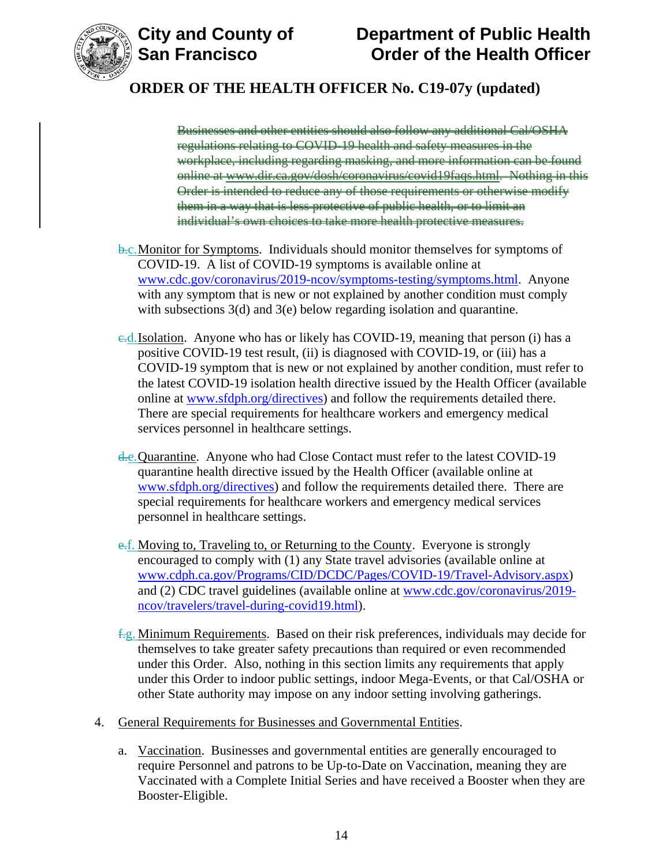

# **City and County of County of Department of Public Health<br>San Francisco Corder of the Health Officer Order of the Health Officer**

# **ORDER OF THE HEALTH OFFICER No. C19-07y (updated)**

Businesses and other entities should also follow any additional Cal/OSHA regulations relating to COVID-19 health and safety measures in the workplace, including regarding masking, and more information can be found online at [www.dir.ca.gov/dosh/coronavirus/covid19faqs.html.](https://www.dir.ca.gov/dosh/coronavirus/covid19faqs.html) Nothing in this Order is intended to reduce any of those requirements or otherwise modify them in a way that is less protective of public health, or to limit an individual's own choices to take more health protective measures.

- **b.c.** Monitor for Symptoms. Individuals should monitor themselves for symptoms of COVID-19. A list of COVID-19 symptoms is available online at [www.cdc.gov/coronavirus/2019-ncov/symptoms-testing/symptoms.html.](https://www.cdc.gov/coronavirus/2019-ncov/symptoms-testing/symptoms.html) Anyone with any symptom that is new or not explained by another condition must comply with subsections 3(d) and 3(e) below regarding isolation and quarantine.
- c.d.Isolation. Anyone who has or likely has COVID-19, meaning that person (i) has a positive COVID-19 test result, (ii) is diagnosed with COVID-19, or (iii) has a COVID-19 symptom that is new or not explained by another condition, must refer to the latest COVID-19 isolation health directive issued by the Health Officer (available online at [www.sfdph.org/directives\)](https://www.sfdph.org/directives) and follow the requirements detailed there. There are special requirements for healthcare workers and emergency medical services personnel in healthcare settings.
- d.e. Quarantine. Anyone who had Close Contact must refer to the latest COVID-19 quarantine health directive issued by the Health Officer (available online at [www.sfdph.org/directives\)](https://www.sfdph.org/directives) and follow the requirements detailed there. There are special requirements for healthcare workers and emergency medical services personnel in healthcare settings.
- e.f. Moving to, Traveling to, or Returning to the County. Everyone is strongly encouraged to comply with (1) any State travel advisories (available online at [www.cdph.ca.gov/Programs/CID/DCDC/Pages/COVID-19/Travel-Advisory.aspx\)](https://www.cdph.ca.gov/Programs/CID/DCDC/Pages/COVID-19/Travel-Advisory.aspx) and (2) CDC travel guidelines (available online at [www.cdc.gov/coronavirus/2019](https://www.cdc.gov/coronavirus/2019-ncov/travelers/travel-during-covid19.html) [ncov/travelers/travel-during-covid19.html\)](https://www.cdc.gov/coronavirus/2019-ncov/travelers/travel-during-covid19.html).
- $f-g$ . Minimum Requirements. Based on their risk preferences, individuals may decide for themselves to take greater safety precautions than required or even recommended under this Order. Also, nothing in this section limits any requirements that apply under this Order to indoor public settings, indoor Mega-Events, or that Cal/OSHA or other State authority may impose on any indoor setting involving gatherings.
- 4. General Requirements for Businesses and Governmental Entities.
	- a. Vaccination. Businesses and governmental entities are generally encouraged to require Personnel and patrons to be Up-to-Date on Vaccination, meaning they are Vaccinated with a Complete Initial Series and have received a Booster when they are Booster-Eligible.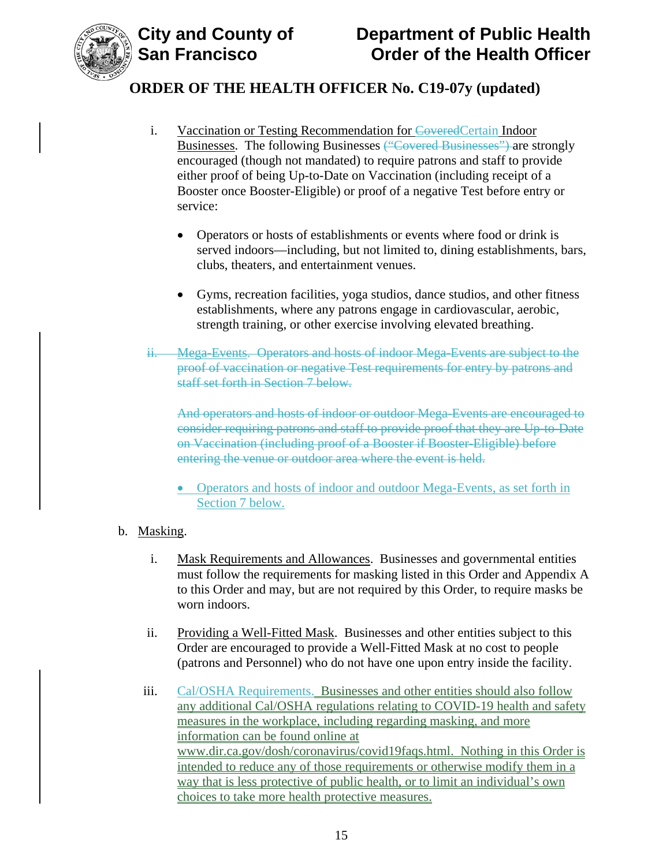

- i. Vaccination or Testing Recommendation for CoveredCertain Indoor Businesses. The following Businesses ("Covered Businesses") are strongly encouraged (though not mandated) to require patrons and staff to provide either proof of being Up-to-Date on Vaccination (including receipt of a Booster once Booster-Eligible) or proof of a negative Test before entry or service:
	- Operators or hosts of establishments or events where food or drink is served indoors—including, but not limited to, dining establishments, bars, clubs, theaters, and entertainment venues.
	- Gyms, recreation facilities, yoga studios, dance studios, and other fitness establishments, where any patrons engage in cardiovascular, aerobic, strength training, or other exercise involving elevated breathing.
- ii. Mega-Events. Operators and hosts of indoor Mega-Events are subject to the proof of vaccination or negative Test requirements for entry by patrons and staff set forth in Section 7 below.

And operators and hosts of indoor or outdoor Mega-Events are encouraged to consider requiring patrons and staff to provide proof that they are Up-to-Date on Vaccination (including proof of a Booster if Booster-Eligible) before entering the venue or outdoor area where the event is held.

• Operators and hosts of indoor and outdoor Mega-Events, as set forth in Section 7 below.

### b. Masking.

- i. Mask Requirements and Allowances. Businesses and governmental entities must follow the requirements for masking listed in this Order and Appendix A to this Order and may, but are not required by this Order, to require masks be worn indoors.
- ii. Providing a Well-Fitted Mask. Businesses and other entities subject to this Order are encouraged to provide a Well-Fitted Mask at no cost to people (patrons and Personnel) who do not have one upon entry inside the facility.
- iii. Cal/OSHA Requirements. Businesses and other entities should also follow any additional Cal/OSHA regulations relating to COVID-19 health and safety measures in the workplace, including regarding masking, and more information can be found online at [www.dir.ca.gov/dosh/coronavirus/covid19faqs.html.](https://www.dir.ca.gov/dosh/coronavirus/covid19faqs.html) Nothing in this Order is intended to reduce any of those requirements or otherwise modify them in a way that is less protective of public health, or to limit an individual's own choices to take more health protective measures.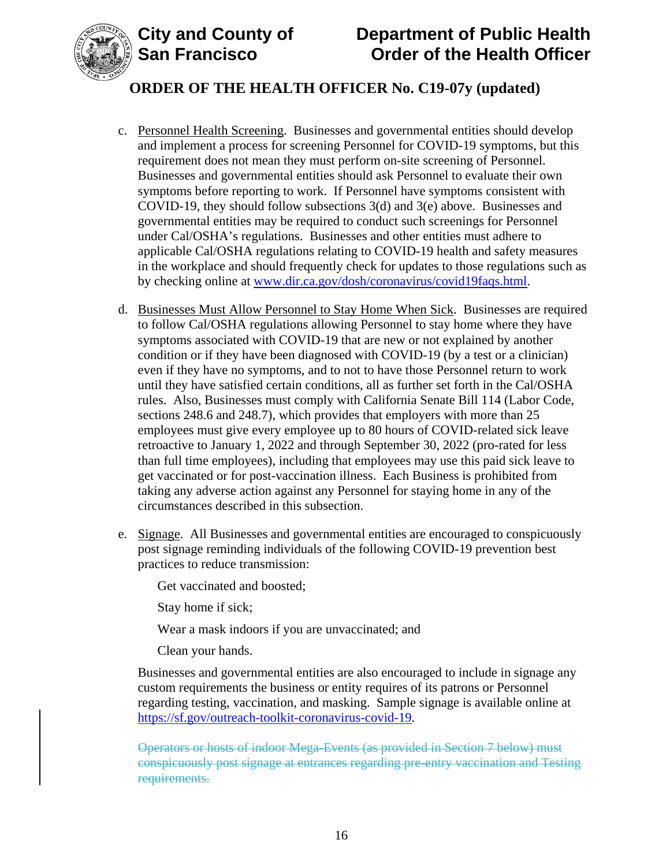



- c. Personnel Health Screening. Businesses and governmental entities should develop and implement a process for screening Personnel for COVID-19 symptoms, but this requirement does not mean they must perform on-site screening of Personnel. Businesses and governmental entities should ask Personnel to evaluate their own symptoms before reporting to work. If Personnel have symptoms consistent with COVID-19, they should follow subsections 3(d) and 3(e) above. Businesses and governmental entities may be required to conduct such screenings for Personnel under Cal/OSHA's regulations. Businesses and other entities must adhere to applicable Cal/OSHA regulations relating to COVID-19 health and safety measures in the workplace and should frequently check for updates to those regulations such as by checking online at [www.dir.ca.gov/dosh/coronavirus/covid19faqs.html.](https://www.dir.ca.gov/dosh/coronavirus/covid19faqs.html)
- d. Businesses Must Allow Personnel to Stay Home When Sick. Businesses are required to follow Cal/OSHA regulations allowing Personnel to stay home where they have symptoms associated with COVID-19 that are new or not explained by another condition or if they have been diagnosed with COVID-19 (by a test or a clinician) even if they have no symptoms, and to not to have those Personnel return to work until they have satisfied certain conditions, all as further set forth in the Cal/OSHA rules. Also, Businesses must comply with California Senate Bill 114 (Labor Code, sections 248.6 and 248.7), which provides that employers with more than 25 employees must give every employee up to 80 hours of COVID-related sick leave retroactive to January 1, 2022 and through September 30, 2022 (pro-rated for less than full time employees), including that employees may use this paid sick leave to get vaccinated or for post-vaccination illness. Each Business is prohibited from taking any adverse action against any Personnel for staying home in any of the circumstances described in this subsection.
- e. Signage. All Businesses and governmental entities are encouraged to conspicuously post signage reminding individuals of the following COVID-19 prevention best practices to reduce transmission:

Get vaccinated and boosted;

Stay home if sick;

Wear a mask indoors if you are unvaccinated; and

Clean your hands.

Businesses and governmental entities are also encouraged to include in signage any custom requirements the business or entity requires of its patrons or Personnel regarding testing, vaccination, and masking. Sample signage is available online at [https://sf.gov/outreach-toolkit-coronavirus-covid-19.](https://sf.gov/outreach-toolkit-coronavirus-covid-19)

Operators or hosts of indoor Mega-Events (as provided in Section 7 below) must conspicuously post signage at entrances regarding pre-entry vaccination and Testing requirements.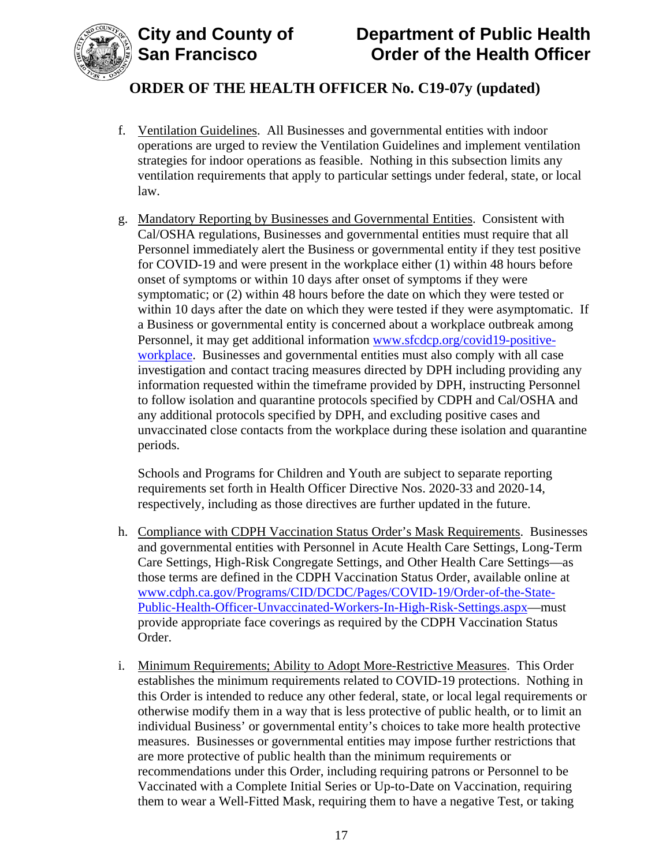

# **ORDER OF THE HEALTH OFFICER No. C19-07y (updated)**

- f. Ventilation Guidelines. All Businesses and governmental entities with indoor operations are urged to review the Ventilation Guidelines and implement ventilation strategies for indoor operations as feasible. Nothing in this subsection limits any ventilation requirements that apply to particular settings under federal, state, or local law.
- g. Mandatory Reporting by Businesses and Governmental Entities. Consistent with Cal/OSHA regulations, Businesses and governmental entities must require that all Personnel immediately alert the Business or governmental entity if they test positive for COVID-19 and were present in the workplace either (1) within 48 hours before onset of symptoms or within 10 days after onset of symptoms if they were symptomatic; or (2) within 48 hours before the date on which they were tested or within 10 days after the date on which they were tested if they were asymptomatic. If a Business or governmental entity is concerned about a workplace outbreak among Personnel, it may get additional information [www.sfcdcp.org/covid19-positive](http://www.sfcdcp.org/covid19-positive-workplace)[workplace.](http://www.sfcdcp.org/covid19-positive-workplace) Businesses and governmental entities must also comply with all case investigation and contact tracing measures directed by DPH including providing any information requested within the timeframe provided by DPH, instructing Personnel to follow isolation and quarantine protocols specified by CDPH and Cal/OSHA and any additional protocols specified by DPH, and excluding positive cases and unvaccinated close contacts from the workplace during these isolation and quarantine periods.

Schools and Programs for Children and Youth are subject to separate reporting requirements set forth in Health Officer Directive Nos. 2020-33 and 2020-14, respectively, including as those directives are further updated in the future.

- h. Compliance with CDPH Vaccination Status Order's Mask Requirements. Businesses and governmental entities with Personnel in Acute Health Care Settings, Long-Term Care Settings, High-Risk Congregate Settings, and Other Health Care Settings—as those terms are defined in the CDPH Vaccination Status Order, available online at [www.cdph.ca.gov/Programs/CID/DCDC/Pages/COVID-19/Order-of-the-State-](https://www.cdph.ca.gov/Programs/CID/DCDC/Pages/COVID-19/Order-of-the-State-Public-Health-Officer-Unvaccinated-Workers-In-High-Risk-Settings.aspx)[Public-Health-Officer-Unvaccinated-Workers-In-High-Risk-Settings.aspx—](https://www.cdph.ca.gov/Programs/CID/DCDC/Pages/COVID-19/Order-of-the-State-Public-Health-Officer-Unvaccinated-Workers-In-High-Risk-Settings.aspx)must provide appropriate face coverings as required by the CDPH Vaccination Status Order.
- i. Minimum Requirements; Ability to Adopt More-Restrictive Measures. This Order establishes the minimum requirements related to COVID-19 protections. Nothing in this Order is intended to reduce any other federal, state, or local legal requirements or otherwise modify them in a way that is less protective of public health, or to limit an individual Business' or governmental entity's choices to take more health protective measures. Businesses or governmental entities may impose further restrictions that are more protective of public health than the minimum requirements or recommendations under this Order, including requiring patrons or Personnel to be Vaccinated with a Complete Initial Series or Up-to-Date on Vaccination, requiring them to wear a Well-Fitted Mask, requiring them to have a negative Test, or taking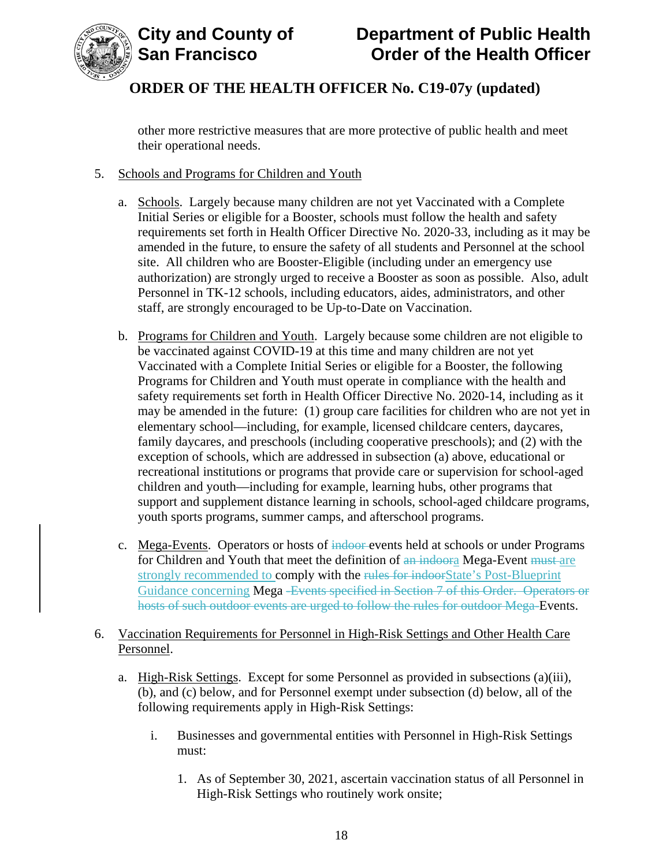

other more restrictive measures that are more protective of public health and meet their operational needs.

### 5. Schools and Programs for Children and Youth

- a. Schools. Largely because many children are not yet Vaccinated with a Complete Initial Series or eligible for a Booster, schools must follow the health and safety requirements set forth in Health Officer Directive No. 2020-33, including as it may be amended in the future, to ensure the safety of all students and Personnel at the school site. All children who are Booster-Eligible (including under an emergency use authorization) are strongly urged to receive a Booster as soon as possible. Also, adult Personnel in TK-12 schools, including educators, aides, administrators, and other staff, are strongly encouraged to be Up-to-Date on Vaccination.
- b. Programs for Children and Youth. Largely because some children are not eligible to be vaccinated against COVID-19 at this time and many children are not yet Vaccinated with a Complete Initial Series or eligible for a Booster, the following Programs for Children and Youth must operate in compliance with the health and safety requirements set forth in Health Officer Directive No. 2020-14, including as it may be amended in the future: (1) group care facilities for children who are not yet in elementary school—including, for example, licensed childcare centers, daycares, family daycares, and preschools (including cooperative preschools); and (2) with the exception of schools, which are addressed in subsection (a) above, educational or recreational institutions or programs that provide care or supervision for school-aged children and youth—including for example, learning hubs, other programs that support and supplement distance learning in schools, school-aged childcare programs, youth sports programs, summer camps, and afterschool programs.
- c. Mega-Events. Operators or hosts of indoor events held at schools or under Programs for Children and Youth that meet the definition of an indoora Mega-Event must are strongly recommended to **comply with the rules for indoor**State's Post-Blueprint Guidance concerning Mega -Events specified in Section 7 of this Order. Operators or hosts of such outdoor events are urged to follow the rules for outdoor Mega-Events.

### 6. Vaccination Requirements for Personnel in High-Risk Settings and Other Health Care Personnel.

- a. High-Risk Settings. Except for some Personnel as provided in subsections (a)(iii), (b), and (c) below, and for Personnel exempt under subsection (d) below, all of the following requirements apply in High-Risk Settings:
	- i. Businesses and governmental entities with Personnel in High-Risk Settings must:
		- 1. As of September 30, 2021, ascertain vaccination status of all Personnel in High-Risk Settings who routinely work onsite;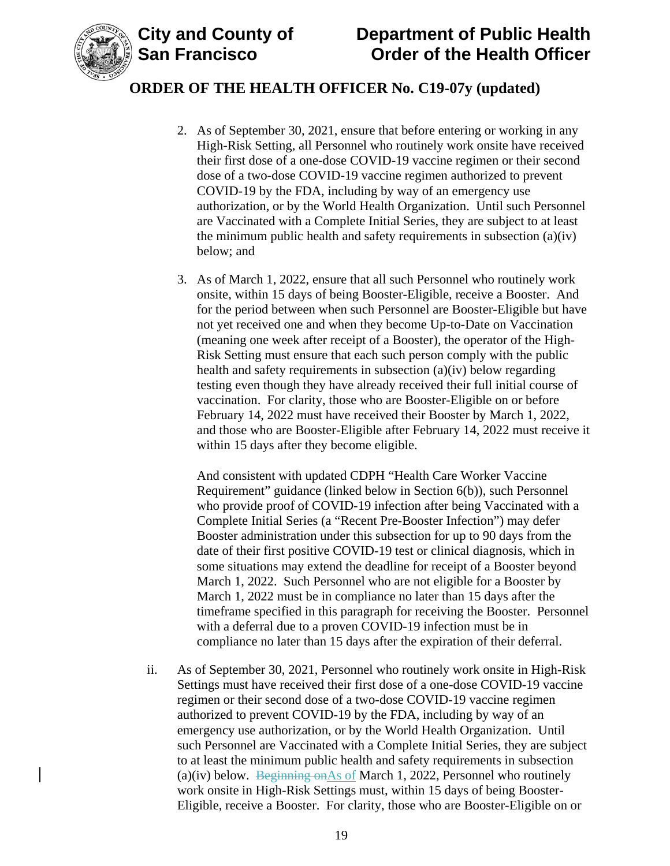

## **ORDER OF THE HEALTH OFFICER No. C19-07y (updated)**

- 2. As of September 30, 2021, ensure that before entering or working in any High-Risk Setting, all Personnel who routinely work onsite have received their first dose of a one-dose COVID-19 vaccine regimen or their second dose of a two-dose COVID-19 vaccine regimen authorized to prevent COVID-19 by the FDA, including by way of an emergency use authorization, or by the World Health Organization. Until such Personnel are Vaccinated with a Complete Initial Series, they are subject to at least the minimum public health and safety requirements in subsection (a)(iv) below; and
- 3. As of March 1, 2022, ensure that all such Personnel who routinely work onsite, within 15 days of being Booster-Eligible, receive a Booster. And for the period between when such Personnel are Booster-Eligible but have not yet received one and when they become Up-to-Date on Vaccination (meaning one week after receipt of a Booster), the operator of the High-Risk Setting must ensure that each such person comply with the public health and safety requirements in subsection (a)(iv) below regarding testing even though they have already received their full initial course of vaccination. For clarity, those who are Booster-Eligible on or before February 14, 2022 must have received their Booster by March 1, 2022, and those who are Booster-Eligible after February 14, 2022 must receive it within 15 days after they become eligible.

And consistent with updated CDPH "Health Care Worker Vaccine Requirement" guidance (linked below in Section 6(b)), such Personnel who provide proof of COVID-19 infection after being Vaccinated with a Complete Initial Series (a "Recent Pre-Booster Infection") may defer Booster administration under this subsection for up to 90 days from the date of their first positive COVID-19 test or clinical diagnosis, which in some situations may extend the deadline for receipt of a Booster beyond March 1, 2022. Such Personnel who are not eligible for a Booster by March 1, 2022 must be in compliance no later than 15 days after the timeframe specified in this paragraph for receiving the Booster. Personnel with a deferral due to a proven COVID-19 infection must be in compliance no later than 15 days after the expiration of their deferral.

ii. As of September 30, 2021, Personnel who routinely work onsite in High-Risk Settings must have received their first dose of a one-dose COVID-19 vaccine regimen or their second dose of a two-dose COVID-19 vaccine regimen authorized to prevent COVID-19 by the FDA, including by way of an emergency use authorization, or by the World Health Organization. Until such Personnel are Vaccinated with a Complete Initial Series, they are subject to at least the minimum public health and safety requirements in subsection (a)(iv) below. Beginning on As of March 1, 2022, Personnel who routinely work onsite in High-Risk Settings must, within 15 days of being Booster-Eligible, receive a Booster. For clarity, those who are Booster-Eligible on or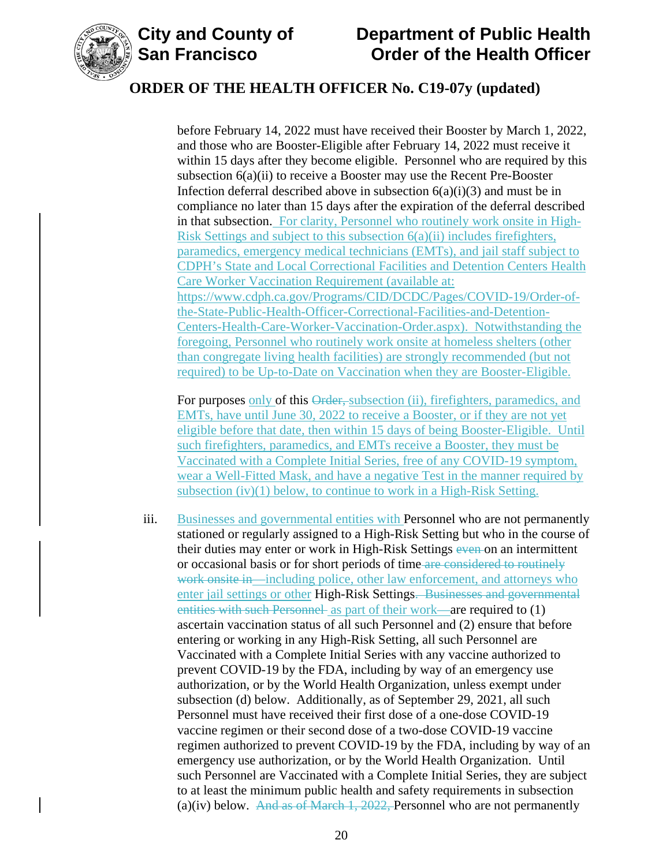

before February 14, 2022 must have received their Booster by March 1, 2022, and those who are Booster-Eligible after February 14, 2022 must receive it within 15 days after they become eligible. Personnel who are required by this subsection 6(a)(ii) to receive a Booster may use the Recent Pre-Booster Infection deferral described above in subsection  $6(a)(i)(3)$  and must be in compliance no later than 15 days after the expiration of the deferral described in that subsection. For clarity, Personnel who routinely work onsite in High-Risk Settings and subject to this subsection 6(a)(ii) includes firefighters, paramedics, emergency medical technicians (EMTs), and jail staff subject to CDPH's State and Local Correctional Facilities and Detention Centers Health Care Worker Vaccination Requirement (available at: [https://www.cdph.ca.gov/Programs/CID/DCDC/Pages/COVID-19/Order-of](https://www.cdph.ca.gov/Programs/CID/DCDC/Pages/COVID-19/Order-of-the-State-Public-Health-Officer-Correctional-Facilities-and-Detention-Centers-Health-Care-Worker-Vaccination-Order.aspx)[the-State-Public-Health-Officer-Correctional-Facilities-and-Detention-](https://www.cdph.ca.gov/Programs/CID/DCDC/Pages/COVID-19/Order-of-the-State-Public-Health-Officer-Correctional-Facilities-and-Detention-Centers-Health-Care-Worker-Vaccination-Order.aspx)[Centers-Health-Care-Worker-Vaccination-Order.aspx\)](https://www.cdph.ca.gov/Programs/CID/DCDC/Pages/COVID-19/Order-of-the-State-Public-Health-Officer-Correctional-Facilities-and-Detention-Centers-Health-Care-Worker-Vaccination-Order.aspx). Notwithstanding the foregoing, Personnel who routinely work onsite at homeless shelters (other than congregate living health facilities) are strongly recommended (but not required) to be Up-to-Date on Vaccination when they are Booster-Eligible.

For purposes only of this Order, subsection (ii), firefighters, paramedics, and EMTs, have until June 30, 2022 to receive a Booster, or if they are not yet eligible before that date, then within 15 days of being Booster-Eligible. Until such firefighters, paramedics, and EMTs receive a Booster, they must be Vaccinated with a Complete Initial Series, free of any COVID-19 symptom, wear a Well-Fitted Mask, and have a negative Test in the manner required by subsection (iv)(1) below, to continue to work in a High-Risk Setting.

iii. Businesses and governmental entities with Personnel who are not permanently stationed or regularly assigned to a High-Risk Setting but who in the course of their duties may enter or work in High-Risk Settings even on an intermittent or occasional basis or for short periods of time are considered to routinely work onsite in—including police, other law enforcement, and attorneys who enter jail settings or other High-Risk Settings. Businesses and governmental entities with such Personnel as part of their work—are required to (1) ascertain vaccination status of all such Personnel and (2) ensure that before entering or working in any High-Risk Setting, all such Personnel are Vaccinated with a Complete Initial Series with any vaccine authorized to prevent COVID-19 by the FDA, including by way of an emergency use authorization, or by the World Health Organization, unless exempt under subsection (d) below. Additionally, as of September 29, 2021, all such Personnel must have received their first dose of a one-dose COVID-19 vaccine regimen or their second dose of a two-dose COVID-19 vaccine regimen authorized to prevent COVID-19 by the FDA, including by way of an emergency use authorization, or by the World Health Organization. Until such Personnel are Vaccinated with a Complete Initial Series, they are subject to at least the minimum public health and safety requirements in subsection (a)(iv) below. And as of March 1, 2022, Personnel who are not permanently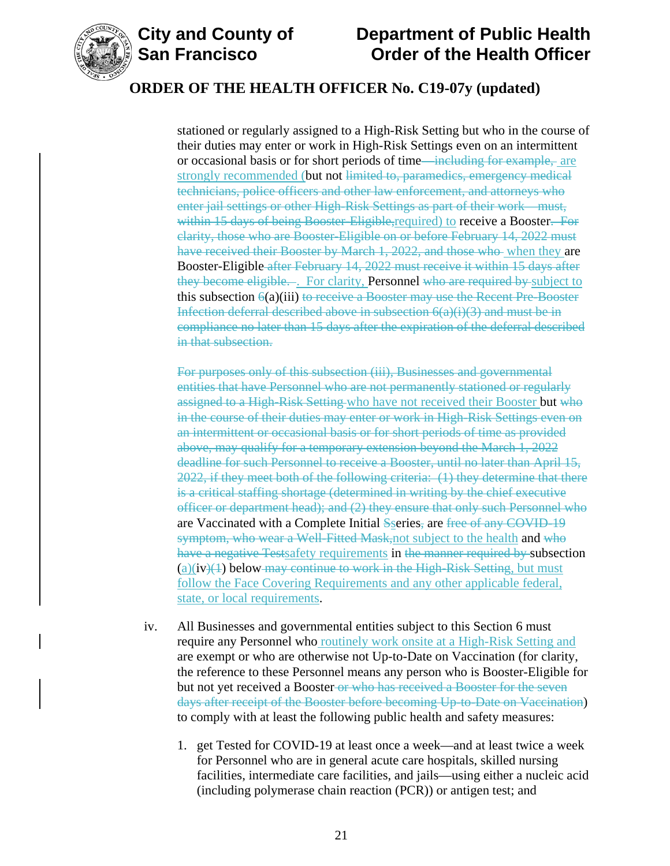

# **City and County of County of Department of Public Health<br>San Francisco Corder of the Health Officer Order of the Health Officer**

## **ORDER OF THE HEALTH OFFICER No. C19-07y (updated)**

stationed or regularly assigned to a High-Risk Setting but who in the course of their duties may enter or work in High-Risk Settings even on an intermittent or occasional basis or for short periods of time—including for example, are strongly recommended (but not limited to, paramedics, emergency medical technicians, police officers and other law enforcement, and attorneys who enter jail settings or other High-Risk Settings as part of their work—must, within 15 days of being Booster-Eligible, required) to receive a Booster. For clarity, those who are Booster-Eligible on or before February 14, 2022 must have received their Booster by March 1, 2022, and those who when they are Booster-Eligible after February 14, 2022 must receive it within 15 days after they become eligible... For clarity, Personnel who are required by subject to this subsection  $\Theta(a)$ (iii) to receive a Booster may use the Recent Pre-Booster Infection deferral described above in subsection  $6(a)(i)(3)$  and must be in compliance no later than 15 days after the expiration of the deferral described in that subsection.

For purposes only of this subsection (iii), Businesses and governmental entities that have Personnel who are not permanently stationed or regularly assigned to a High-Risk Setting who have not received their Booster but who in the course of their duties may enter or work in High-Risk Settings even on an intermittent or occasional basis or for short periods of time as provided above, may qualify for a temporary extension beyond the March 1, 2022 deadline for such Personnel to receive a Booster, until no later than April 15, 2022, if they meet both of the following criteria: (1) they determine that there is a critical staffing shortage (determined in writing by the chief executive officer or department head); and (2) they ensure that only such Personnel who are Vaccinated with a Complete Initial Sseries, are free of any COVID-19 symptom, who wear a Well-Fitted Mask, not subject to the health and who have a negative Testsafety requirements in the manner required by subsection  $(a)(iv)(1)$  below-may continue to work in the High-Risk Setting, but must follow the Face Covering Requirements and any other applicable federal, state, or local requirements.

- iv. All Businesses and governmental entities subject to this Section 6 must require any Personnel who routinely work onsite at a High-Risk Setting and are exempt or who are otherwise not Up-to-Date on Vaccination (for clarity, the reference to these Personnel means any person who is Booster-Eligible for but not yet received a Booster-or who has received a Booster for the seven days after receipt of the Booster before becoming Up-to-Date on Vaccination) to comply with at least the following public health and safety measures:
	- 1. get Tested for COVID-19 at least once a week—and at least twice a week for Personnel who are in general acute care hospitals, skilled nursing facilities, intermediate care facilities, and jails—using either a nucleic acid (including polymerase chain reaction (PCR)) or antigen test; and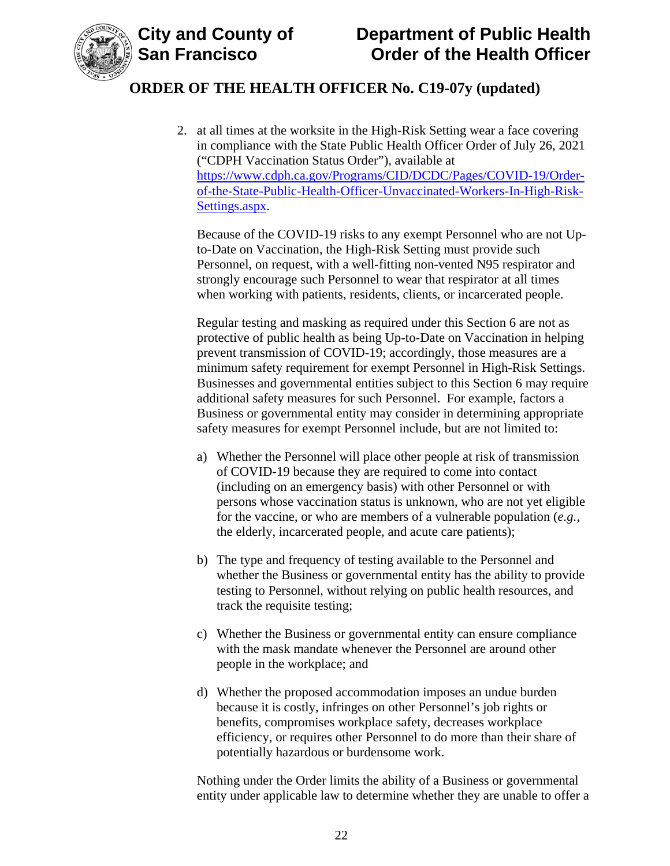

2. at all times at the worksite in the High-Risk Setting wear a face covering in compliance with the State Public Health Officer Order of July 26, 2021 ("CDPH Vaccination Status Order"), available at [https://www.cdph.ca.gov/Programs/CID/DCDC/Pages/COVID-19/Order](https://www.cdph.ca.gov/Programs/CID/DCDC/Pages/COVID-19/Order-of-the-State-Public-Health-Officer-Unvaccinated-Workers-In-High-Risk-Settings.aspx)[of-the-State-Public-Health-Officer-Unvaccinated-Workers-In-High-Risk-](https://www.cdph.ca.gov/Programs/CID/DCDC/Pages/COVID-19/Order-of-the-State-Public-Health-Officer-Unvaccinated-Workers-In-High-Risk-Settings.aspx)[Settings.aspx.](https://www.cdph.ca.gov/Programs/CID/DCDC/Pages/COVID-19/Order-of-the-State-Public-Health-Officer-Unvaccinated-Workers-In-High-Risk-Settings.aspx)

Because of the COVID-19 risks to any exempt Personnel who are not Upto-Date on Vaccination, the High-Risk Setting must provide such Personnel, on request, with a well-fitting non-vented N95 respirator and strongly encourage such Personnel to wear that respirator at all times when working with patients, residents, clients, or incarcerated people.

Regular testing and masking as required under this Section 6 are not as protective of public health as being Up-to-Date on Vaccination in helping prevent transmission of COVID-19; accordingly, those measures are a minimum safety requirement for exempt Personnel in High-Risk Settings. Businesses and governmental entities subject to this Section 6 may require additional safety measures for such Personnel. For example, factors a Business or governmental entity may consider in determining appropriate safety measures for exempt Personnel include, but are not limited to:

- a) Whether the Personnel will place other people at risk of transmission of COVID-19 because they are required to come into contact (including on an emergency basis) with other Personnel or with persons whose vaccination status is unknown, who are not yet eligible for the vaccine, or who are members of a vulnerable population (*e.g.*, the elderly, incarcerated people, and acute care patients);
- b) The type and frequency of testing available to the Personnel and whether the Business or governmental entity has the ability to provide testing to Personnel, without relying on public health resources, and track the requisite testing;
- c) Whether the Business or governmental entity can ensure compliance with the mask mandate whenever the Personnel are around other people in the workplace; and
- d) Whether the proposed accommodation imposes an undue burden because it is costly, infringes on other Personnel's job rights or benefits, compromises workplace safety, decreases workplace efficiency, or requires other Personnel to do more than their share of potentially hazardous or burdensome work.

Nothing under the Order limits the ability of a Business or governmental entity under applicable law to determine whether they are unable to offer a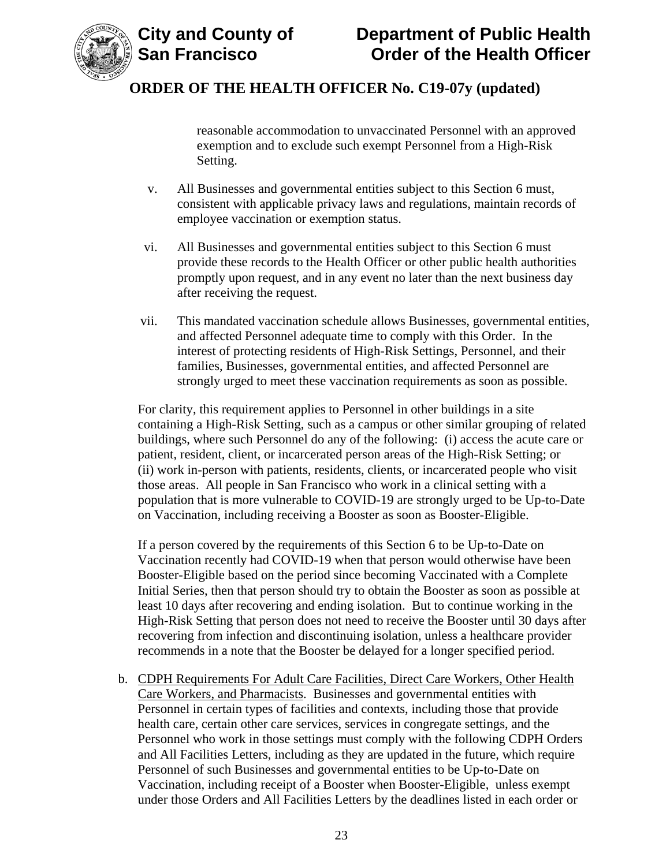

reasonable accommodation to unvaccinated Personnel with an approved exemption and to exclude such exempt Personnel from a High-Risk Setting.

- v. All Businesses and governmental entities subject to this Section 6 must, consistent with applicable privacy laws and regulations, maintain records of employee vaccination or exemption status.
- vi. All Businesses and governmental entities subject to this Section 6 must provide these records to the Health Officer or other public health authorities promptly upon request, and in any event no later than the next business day after receiving the request.
- vii. This mandated vaccination schedule allows Businesses, governmental entities, and affected Personnel adequate time to comply with this Order. In the interest of protecting residents of High-Risk Settings, Personnel, and their families, Businesses, governmental entities, and affected Personnel are strongly urged to meet these vaccination requirements as soon as possible.

For clarity, this requirement applies to Personnel in other buildings in a site containing a High-Risk Setting, such as a campus or other similar grouping of related buildings, where such Personnel do any of the following: (i) access the acute care or patient, resident, client, or incarcerated person areas of the High-Risk Setting; or (ii) work in-person with patients, residents, clients, or incarcerated people who visit those areas. All people in San Francisco who work in a clinical setting with a population that is more vulnerable to COVID-19 are strongly urged to be Up-to-Date on Vaccination, including receiving a Booster as soon as Booster-Eligible.

If a person covered by the requirements of this Section 6 to be Up-to-Date on Vaccination recently had COVID-19 when that person would otherwise have been Booster-Eligible based on the period since becoming Vaccinated with a Complete Initial Series, then that person should try to obtain the Booster as soon as possible at least 10 days after recovering and ending isolation. But to continue working in the High-Risk Setting that person does not need to receive the Booster until 30 days after recovering from infection and discontinuing isolation, unless a healthcare provider recommends in a note that the Booster be delayed for a longer specified period.

b. CDPH Requirements For Adult Care Facilities, Direct Care Workers, Other Health Care Workers, and Pharmacists. Businesses and governmental entities with Personnel in certain types of facilities and contexts, including those that provide health care, certain other care services, services in congregate settings, and the Personnel who work in those settings must comply with the following CDPH Orders and All Facilities Letters, including as they are updated in the future, which require Personnel of such Businesses and governmental entities to be Up-to-Date on Vaccination, including receipt of a Booster when Booster-Eligible, unless exempt under those Orders and All Facilities Letters by the deadlines listed in each order or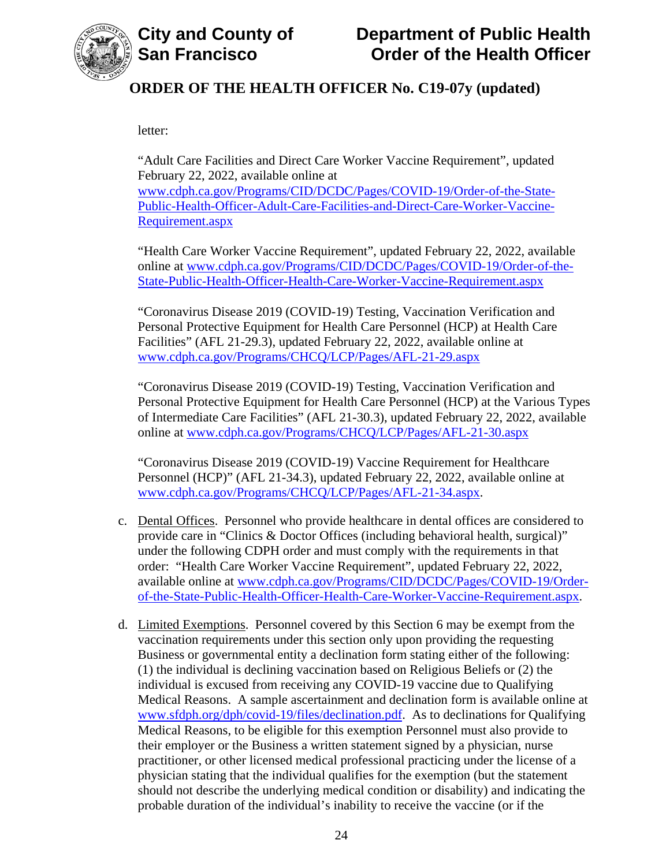

letter:

"Adult Care Facilities and Direct Care Worker Vaccine Requirement", updated February 22, 2022, available online at [www.cdph.ca.gov/Programs/CID/DCDC/Pages/COVID-19/Order-of-the-State-](https://www.cdph.ca.gov/Programs/CID/DCDC/Pages/COVID-19/Order-of-the-State-Public-Health-Officer-Adult-Care-Facilities-and-Direct-Care-Worker-Vaccine-Requirement.aspx)[Public-Health-Officer-Adult-Care-Facilities-and-Direct-Care-Worker-Vaccine-](https://www.cdph.ca.gov/Programs/CID/DCDC/Pages/COVID-19/Order-of-the-State-Public-Health-Officer-Adult-Care-Facilities-and-Direct-Care-Worker-Vaccine-Requirement.aspx)[Requirement.aspx](https://www.cdph.ca.gov/Programs/CID/DCDC/Pages/COVID-19/Order-of-the-State-Public-Health-Officer-Adult-Care-Facilities-and-Direct-Care-Worker-Vaccine-Requirement.aspx)

"Health Care Worker Vaccine Requirement", updated February 22, 2022, available online at [www.cdph.ca.gov/Programs/CID/DCDC/Pages/COVID-19/Order-of-the-](https://www.cdph.ca.gov/Programs/CID/DCDC/Pages/COVID-19/Order-of-the-State-Public-Health-Officer-Health-Care-Worker-Vaccine-Requirement.aspx)[State-Public-Health-Officer-Health-Care-Worker-Vaccine-Requirement.aspx](https://www.cdph.ca.gov/Programs/CID/DCDC/Pages/COVID-19/Order-of-the-State-Public-Health-Officer-Health-Care-Worker-Vaccine-Requirement.aspx)

"Coronavirus Disease 2019 (COVID-19) Testing, Vaccination Verification and Personal Protective Equipment for Health Care Personnel (HCP) at Health Care Facilities" (AFL 21-29.3), updated February 22, 2022, available online at [www.cdph.ca.gov/Programs/CHCQ/LCP/Pages/AFL-21-29.aspx](https://www.cdph.ca.gov/Programs/CHCQ/LCP/Pages/AFL-21-29.aspx)

"Coronavirus Disease 2019 (COVID-19) Testing, Vaccination Verification and Personal Protective Equipment for Health Care Personnel (HCP) at the Various Types of Intermediate Care Facilities" (AFL 21-30.3), updated February 22, 2022, available online at [www.cdph.ca.gov/Programs/CHCQ/LCP/Pages/AFL-21-30.aspx](https://www.cdph.ca.gov/Programs/CHCQ/LCP/Pages/AFL-21-30.aspx)

"Coronavirus Disease 2019 (COVID-19) Vaccine Requirement for Healthcare Personnel (HCP)" (AFL 21-34.3), updated February 22, 2022, available online at [www.cdph.ca.gov/Programs/CHCQ/LCP/Pages/AFL-21-34.aspx.](https://www.cdph.ca.gov/Programs/CHCQ/LCP/Pages/AFL-21-34.aspx)

- c. Dental Offices. Personnel who provide healthcare in dental offices are considered to provide care in "Clinics & Doctor Offices (including behavioral health, surgical)" under the following CDPH order and must comply with the requirements in that order: "Health Care Worker Vaccine Requirement", updated February 22, 2022, available online at [www.cdph.ca.gov/Programs/CID/DCDC/Pages/COVID-19/Order](https://www.cdph.ca.gov/Programs/CID/DCDC/Pages/COVID-19/Order-of-the-State-Public-Health-Officer-Health-Care-Worker-Vaccine-Requirement.aspx)[of-the-State-Public-Health-Officer-Health-Care-Worker-Vaccine-Requirement.aspx.](https://www.cdph.ca.gov/Programs/CID/DCDC/Pages/COVID-19/Order-of-the-State-Public-Health-Officer-Health-Care-Worker-Vaccine-Requirement.aspx)
- d. Limited Exemptions. Personnel covered by this Section 6 may be exempt from the vaccination requirements under this section only upon providing the requesting Business or governmental entity a declination form stating either of the following: (1) the individual is declining vaccination based on Religious Beliefs or (2) the individual is excused from receiving any COVID-19 vaccine due to Qualifying Medical Reasons. A sample ascertainment and declination form is available online at [www.sfdph.org/dph/covid-19/files/declination.pdf.](https://www.sfdph.org/dph/covid-19/files/declination.pdf) As to declinations for Qualifying Medical Reasons, to be eligible for this exemption Personnel must also provide to their employer or the Business a written statement signed by a physician, nurse practitioner, or other licensed medical professional practicing under the license of a physician stating that the individual qualifies for the exemption (but the statement should not describe the underlying medical condition or disability) and indicating the probable duration of the individual's inability to receive the vaccine (or if the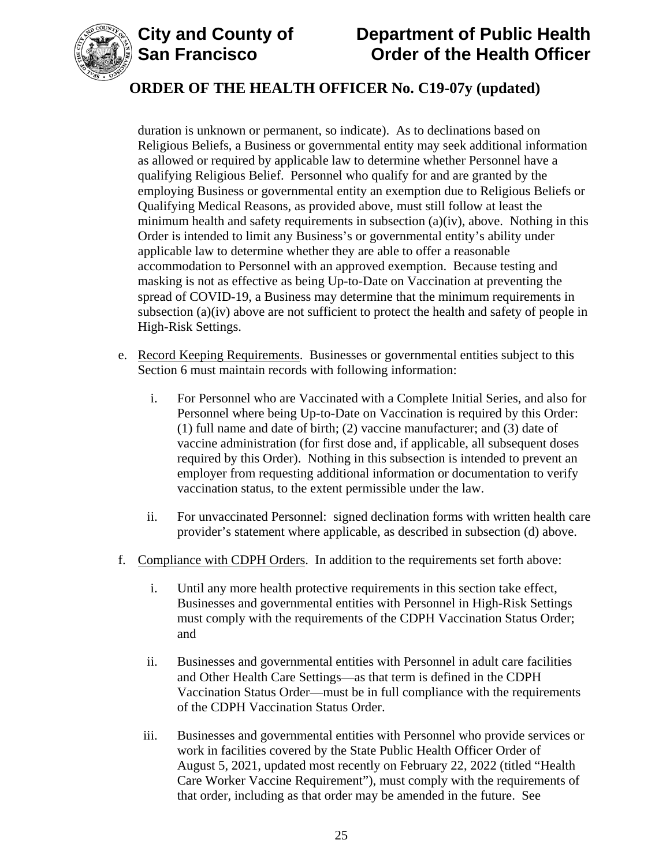



# **ORDER OF THE HEALTH OFFICER No. C19-07y (updated)**

duration is unknown or permanent, so indicate). As to declinations based on Religious Beliefs, a Business or governmental entity may seek additional information as allowed or required by applicable law to determine whether Personnel have a qualifying Religious Belief. Personnel who qualify for and are granted by the employing Business or governmental entity an exemption due to Religious Beliefs or Qualifying Medical Reasons, as provided above, must still follow at least the minimum health and safety requirements in subsection  $(a)(iv)$ , above. Nothing in this Order is intended to limit any Business's or governmental entity's ability under applicable law to determine whether they are able to offer a reasonable accommodation to Personnel with an approved exemption. Because testing and masking is not as effective as being Up-to-Date on Vaccination at preventing the spread of COVID-19, a Business may determine that the minimum requirements in subsection (a)(iv) above are not sufficient to protect the health and safety of people in High-Risk Settings.

- e. Record Keeping Requirements. Businesses or governmental entities subject to this Section 6 must maintain records with following information:
	- i. For Personnel who are Vaccinated with a Complete Initial Series, and also for Personnel where being Up-to-Date on Vaccination is required by this Order: (1) full name and date of birth; (2) vaccine manufacturer; and (3) date of vaccine administration (for first dose and, if applicable, all subsequent doses required by this Order). Nothing in this subsection is intended to prevent an employer from requesting additional information or documentation to verify vaccination status, to the extent permissible under the law.
	- ii. For unvaccinated Personnel: signed declination forms with written health care provider's statement where applicable, as described in subsection (d) above.
- f. Compliance with CDPH Orders. In addition to the requirements set forth above:
	- i. Until any more health protective requirements in this section take effect, Businesses and governmental entities with Personnel in High-Risk Settings must comply with the requirements of the CDPH Vaccination Status Order; and
	- ii. Businesses and governmental entities with Personnel in adult care facilities and Other Health Care Settings—as that term is defined in the CDPH Vaccination Status Order—must be in full compliance with the requirements of the CDPH Vaccination Status Order.
	- iii. Businesses and governmental entities with Personnel who provide services or work in facilities covered by the State Public Health Officer Order of August 5, 2021, updated most recently on February 22, 2022 (titled "Health Care Worker Vaccine Requirement"), must comply with the requirements of that order, including as that order may be amended in the future. See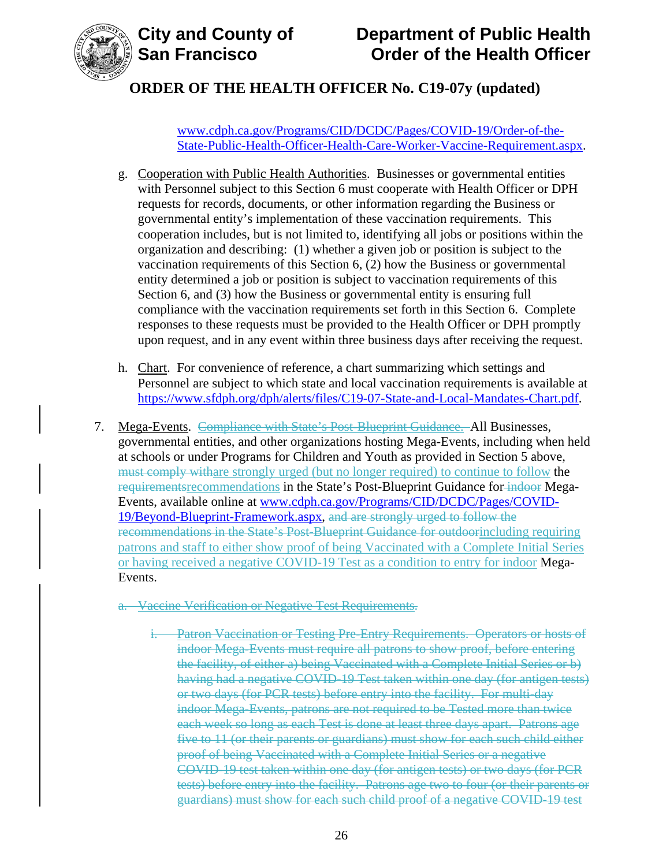

# **ORDER OF THE HEALTH OFFICER No. C19-07y (updated)**

[www.cdph.ca.gov/Programs/CID/DCDC/Pages/COVID-19/Order-of-the-](https://www.cdph.ca.gov/Programs/CID/DCDC/Pages/COVID-19/Order-of-the-State-Public-Health-Officer-Health-Care-Worker-Vaccine-Requirement.aspx)[State-Public-Health-Officer-Health-Care-Worker-Vaccine-Requirement.aspx.](https://www.cdph.ca.gov/Programs/CID/DCDC/Pages/COVID-19/Order-of-the-State-Public-Health-Officer-Health-Care-Worker-Vaccine-Requirement.aspx)

- g. Cooperation with Public Health Authorities. Businesses or governmental entities with Personnel subject to this Section 6 must cooperate with Health Officer or DPH requests for records, documents, or other information regarding the Business or governmental entity's implementation of these vaccination requirements. This cooperation includes, but is not limited to, identifying all jobs or positions within the organization and describing: (1) whether a given job or position is subject to the vaccination requirements of this Section 6, (2) how the Business or governmental entity determined a job or position is subject to vaccination requirements of this Section 6, and (3) how the Business or governmental entity is ensuring full compliance with the vaccination requirements set forth in this Section 6. Complete responses to these requests must be provided to the Health Officer or DPH promptly upon request, and in any event within three business days after receiving the request.
- h. Chart. For convenience of reference, a chart summarizing which settings and Personnel are subject to which state and local vaccination requirements is available at [https://www.sfdph.org/dph/alerts/files/C19-07-State-and-Local-Mandates-Chart.pdf.](https://www.sfdph.org/dph/alerts/files/C19-07-State-and-Local-Mandates-Chart.pdf)
- 7. Mega-Events. Compliance with State's Post-Blueprint Guidance. All Businesses, governmental entities, and other organizations hosting Mega-Events, including when held at schools or under Programs for Children and Youth as provided in Section 5 above, must comply withare strongly urged (but no longer required) to continue to follow the requirementsrecommendations in the State's Post-Blueprint Guidance for indoor Mega-Events, available online at [www.cdph.ca.gov/Programs/CID/DCDC/Pages/COVID-](https://www.cdph.ca.gov/Programs/CID/DCDC/Pages/COVID-19/Beyond-Blueprint-Framework.aspx)[19/Beyond-Blueprint-Framework.aspx,](https://www.cdph.ca.gov/Programs/CID/DCDC/Pages/COVID-19/Beyond-Blueprint-Framework.aspx) and are strongly urged to follow the recommendations in the State's Post-Blueprint Guidance for outdoorincluding requiring patrons and staff to either show proof of being Vaccinated with a Complete Initial Series or having received a negative COVID-19 Test as a condition to entry for indoor Mega-Events.
	- a. Vaccine Verification or Negative Test Requirements.
		- i. Patron Vaccination or Testing Pre-Entry Requirements. Operators or hosts of indoor Mega-Events must require all patrons to show proof, before entering the facility, of either a) being Vaccinated with a Complete Initial Series or b) having had a negative COVID-19 Test taken within one day (for antigen tests) or two days (for PCR tests) before entry into the facility. For multi-day indoor Mega-Events, patrons are not required to be Tested more than twice each week so long as each Test is done at least three days apart. Patrons age five to 11 (or their parents or guardians) must show for each such child either proof of being Vaccinated with a Complete Initial Series or a negative COVID-19 test taken within one day (for antigen tests) or two days (for PCR tests) before entry into the facility. Patrons age two to four (or their parents or guardians) must show for each such child proof of a negative COVID-19 test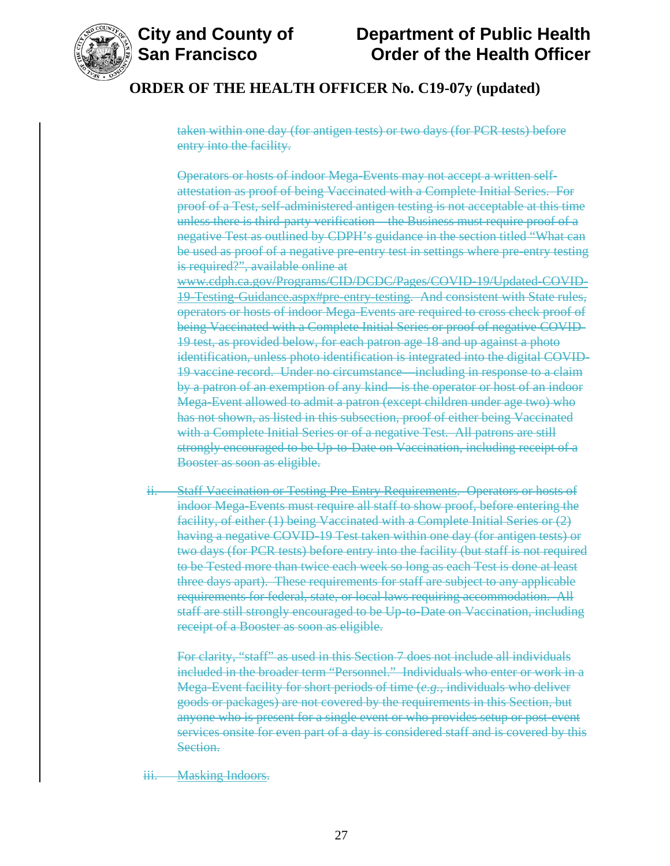

### **ORDER OF THE HEALTH OFFICER No. C19-07y (updated)**

taken within one day (for antigen tests) or two days (for PCR tests) before entry into the facility.

Operators or hosts of indoor Mega-Events may not accept a written selfattestation as proof of being Vaccinated with a Complete Initial Series. For proof of a Test, self-administered antigen testing is not acceptable at this time unless there is third-party verification—the Business must require proof of a negative Test as outlined by CDPH's guidance in the section titled "What can be used as proof of a negative pre-entry test in settings where pre-entry testing is required?", available online at www.cdph.ca.gov/Programs/CID/DCDC/Pages/COVID-19/Updated-COVID-19-Testing-Guidance.aspx#pre-entry-testing. And consistent with State rules, operators or hosts of indoor Mega-Events are required to cross check proof of being Vaccinated with a Complete Initial Series or proof of negative COVID-19 test, as provided below, for each patron age 18 and up against a photo identification, unless photo identification is integrated into the digital COVID-19 vaccine record. Under no circumstance—including in response to a claim by a patron of an exemption of any kind—is the operator or host of an indoor Mega-Event allowed to admit a patron (except children under age two) who has not shown, as listed in this subsection, proof of either being Vaccinated with a Complete Initial Series or of a negative Test. All patrons are still strongly encouraged to be Up-to-Date on Vaccination, including receipt of a Booster as soon as eligible.

ii. Staff Vaccination or Testing Pre-Entry Requirements. Operators or hosts of indoor Mega-Events must require all staff to show proof, before entering the facility, of either (1) being Vaccinated with a Complete Initial Series or (2) having a negative COVID-19 Test taken within one day (for antigen tests) or two days (for PCR tests) before entry into the facility (but staff is not required to be Tested more than twice each week so long as each Test is done at least three days apart). These requirements for staff are subject to any applicable requirements for federal, state, or local laws requiring accommodation. All staff are still strongly encouraged to be Up-to-Date on Vaccination, including receipt of a Booster as soon as eligible.

For clarity, "staff" as used in this Section 7 does not include all individuals included in the broader term "Personnel." Individuals who enter or work in a Mega-Event facility for short periods of time (*e.g.*, individuals who deliver goods or packages) are not covered by the requirements in this Section, but anyone who is present for a single event or who provides setup or post-event services onsite for even part of a day is considered staff and is covered by this Section.

iii. Masking Indoors.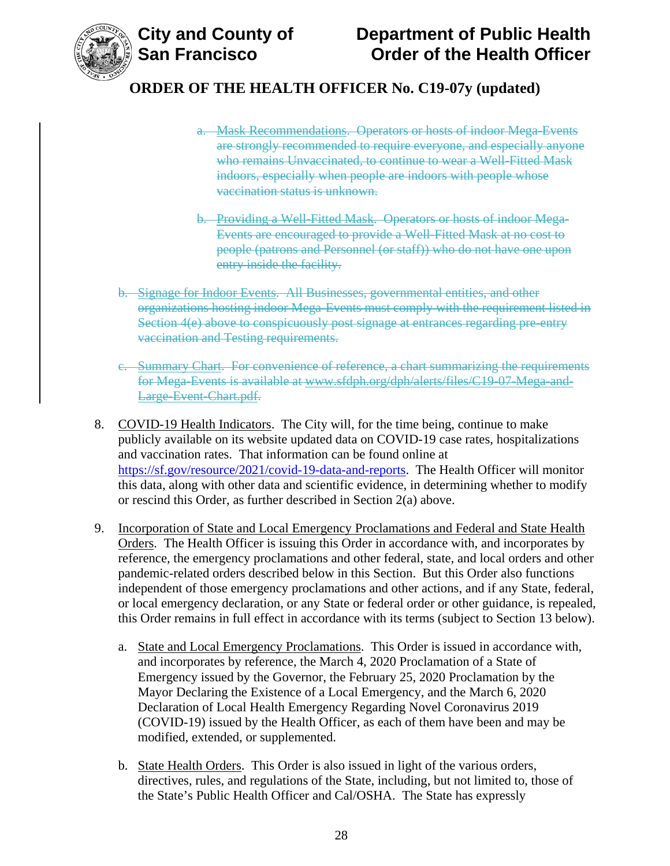

- a. Mask Recommendations. Operators or hosts of indoor Mega-Events are strongly recommended to require everyone, and especially anyone who remains Unvaccinated, to continue to wear a Well-Fitted Mask indoors, especially when people are indoors with people whose vaccination status is unknown.
- b. Providing a Well-Fitted Mask. Operators or hosts of indoor Mega-Events are encouraged to provide a Well-Fitted Mask at no cost to people (patrons and Personnel (or staff)) who do not have one upon entry inside the facility.
- b. Signage for Indoor Events. All Businesses, governmental entities, and other organizations hosting indoor Mega-Events must comply with the requirement listed in Section 4(e) above to conspicuously post signage at entrances regarding pre-entry vaccination and Testing requirements.
- c. Summary Chart. For convenience of reference, a chart summarizing the requirements for Mega-Events is available at www.sfdph.org/dph/alerts/files/C19-07-Mega-and-Large-Event-Chart.pdf.
- 8. COVID-19 Health Indicators. The City will, for the time being, continue to make publicly available on its website updated data on COVID-19 case rates, hospitalizations and vaccination rates. That information can be found online at [https://sf.gov/resource/2021/covid-19-data-and-reports.](https://sf.gov/resource/2021/covid-19-data-and-reports) The Health Officer will monitor this data, along with other data and scientific evidence, in determining whether to modify or rescind this Order, as further described in Section 2(a) above.
- 9. Incorporation of State and Local Emergency Proclamations and Federal and State Health Orders. The Health Officer is issuing this Order in accordance with, and incorporates by reference, the emergency proclamations and other federal, state, and local orders and other pandemic-related orders described below in this Section. But this Order also functions independent of those emergency proclamations and other actions, and if any State, federal, or local emergency declaration, or any State or federal order or other guidance, is repealed, this Order remains in full effect in accordance with its terms (subject to Section 13 below).
	- a. State and Local Emergency Proclamations. This Order is issued in accordance with, and incorporates by reference, the March 4, 2020 Proclamation of a State of Emergency issued by the Governor, the February 25, 2020 Proclamation by the Mayor Declaring the Existence of a Local Emergency, and the March 6, 2020 Declaration of Local Health Emergency Regarding Novel Coronavirus 2019 (COVID-19) issued by the Health Officer, as each of them have been and may be modified, extended, or supplemented.
	- b. State Health Orders. This Order is also issued in light of the various orders, directives, rules, and regulations of the State, including, but not limited to, those of the State's Public Health Officer and Cal/OSHA. The State has expressly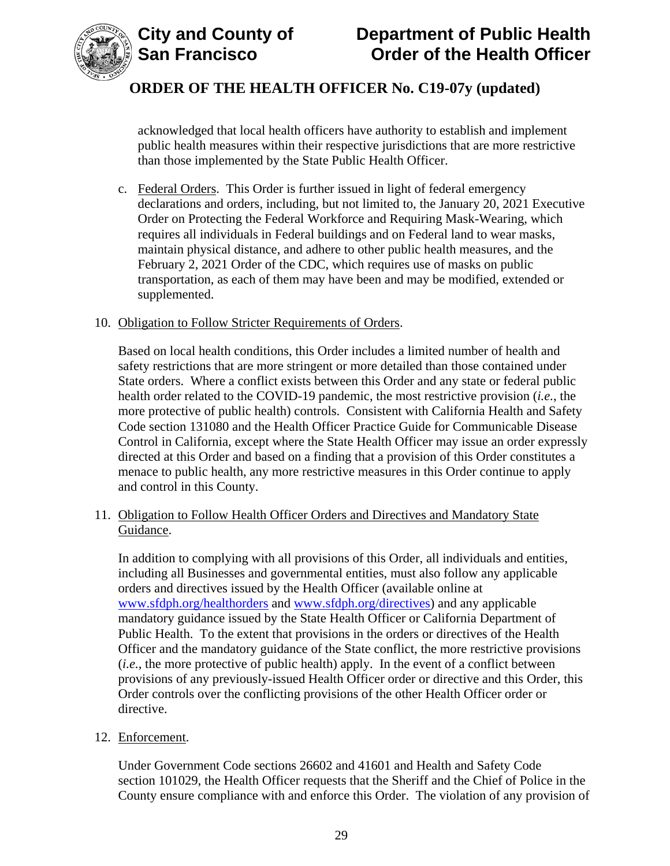



acknowledged that local health officers have authority to establish and implement public health measures within their respective jurisdictions that are more restrictive than those implemented by the State Public Health Officer.

c. Federal Orders. This Order is further issued in light of federal emergency declarations and orders, including, but not limited to, the January 20, 2021 Executive Order on Protecting the Federal Workforce and Requiring Mask-Wearing, which requires all individuals in Federal buildings and on Federal land to wear masks, maintain physical distance, and adhere to other public health measures, and the February 2, 2021 Order of the CDC, which requires use of masks on public transportation, as each of them may have been and may be modified, extended or supplemented.

#### 10. Obligation to Follow Stricter Requirements of Orders.

Based on local health conditions, this Order includes a limited number of health and safety restrictions that are more stringent or more detailed than those contained under State orders. Where a conflict exists between this Order and any state or federal public health order related to the COVID-19 pandemic, the most restrictive provision (*i.e.*, the more protective of public health) controls. Consistent with California Health and Safety Code section 131080 and the Health Officer Practice Guide for Communicable Disease Control in California, except where the State Health Officer may issue an order expressly directed at this Order and based on a finding that a provision of this Order constitutes a menace to public health, any more restrictive measures in this Order continue to apply and control in this County.

### 11. Obligation to Follow Health Officer Orders and Directives and Mandatory State Guidance.

In addition to complying with all provisions of this Order, all individuals and entities, including all Businesses and governmental entities, must also follow any applicable orders and directives issued by the Health Officer (available online at [www.sfdph.org/healthorders](http://www.sfdph.org/healthorders) and [www.sfdph.org/directives\)](https://www.sfdph.org/directives) and any applicable mandatory guidance issued by the State Health Officer or California Department of Public Health. To the extent that provisions in the orders or directives of the Health Officer and the mandatory guidance of the State conflict, the more restrictive provisions (*i.e.*, the more protective of public health) apply. In the event of a conflict between provisions of any previously-issued Health Officer order or directive and this Order, this Order controls over the conflicting provisions of the other Health Officer order or directive.

#### 12. Enforcement.

Under Government Code sections 26602 and 41601 and Health and Safety Code section 101029, the Health Officer requests that the Sheriff and the Chief of Police in the County ensure compliance with and enforce this Order. The violation of any provision of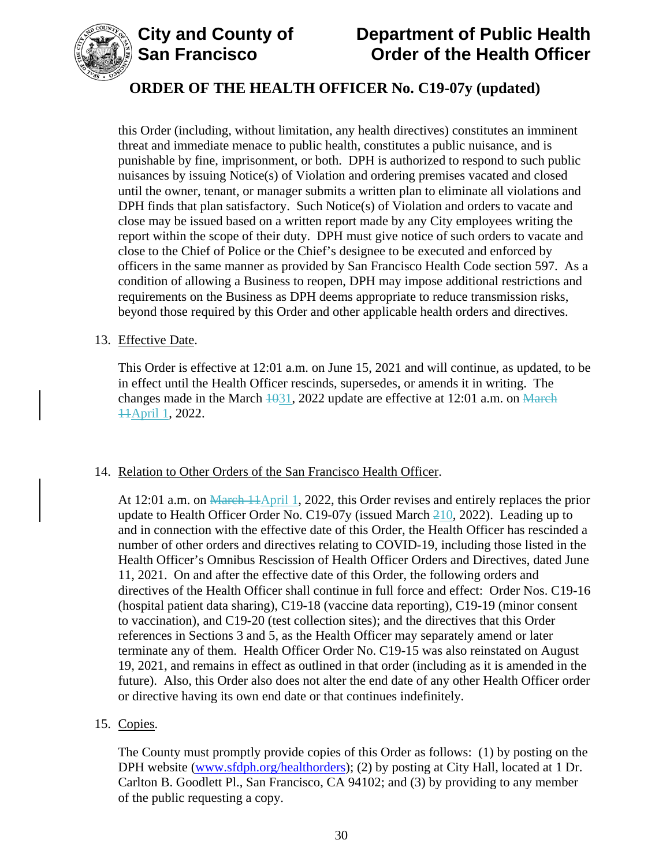

# **ORDER OF THE HEALTH OFFICER No. C19-07y (updated)**

this Order (including, without limitation, any health directives) constitutes an imminent threat and immediate menace to public health, constitutes a public nuisance, and is punishable by fine, imprisonment, or both. DPH is authorized to respond to such public nuisances by issuing Notice(s) of Violation and ordering premises vacated and closed until the owner, tenant, or manager submits a written plan to eliminate all violations and DPH finds that plan satisfactory. Such Notice(s) of Violation and orders to vacate and close may be issued based on a written report made by any City employees writing the report within the scope of their duty. DPH must give notice of such orders to vacate and close to the Chief of Police or the Chief's designee to be executed and enforced by officers in the same manner as provided by San Francisco Health Code section 597. As a condition of allowing a Business to reopen, DPH may impose additional restrictions and requirements on the Business as DPH deems appropriate to reduce transmission risks, beyond those required by this Order and other applicable health orders and directives.

#### 13. Effective Date.

This Order is effective at 12:01 a.m. on June 15, 2021 and will continue, as updated, to be in effect until the Health Officer rescinds, supersedes, or amends it in writing. The changes made in the March  $\frac{1031}{2022}$  update are effective at 12:01 a.m. on March 11April 1, 2022.

#### 14. Relation to Other Orders of the San Francisco Health Officer.

At 12:01 a.m. on March  $\frac{11}{\text{April 1}}$ , 2022, this Order revises and entirely replaces the prior update to Health Officer Order No. C19-07y (issued March  $210$ , 2022). Leading up to and in connection with the effective date of this Order, the Health Officer has rescinded a number of other orders and directives relating to COVID-19, including those listed in the Health Officer's Omnibus Rescission of Health Officer Orders and Directives, dated June 11, 2021. On and after the effective date of this Order, the following orders and directives of the Health Officer shall continue in full force and effect: Order Nos. C19-16 (hospital patient data sharing), C19-18 (vaccine data reporting), C19-19 (minor consent to vaccination), and C19-20 (test collection sites); and the directives that this Order references in Sections 3 and 5, as the Health Officer may separately amend or later terminate any of them. Health Officer Order No. C19-15 was also reinstated on August 19, 2021, and remains in effect as outlined in that order (including as it is amended in the future). Also, this Order also does not alter the end date of any other Health Officer order or directive having its own end date or that continues indefinitely.

#### 15. Copies.

The County must promptly provide copies of this Order as follows: (1) by posting on the DPH website [\(www.sfdph.org/healthorders\)](https://www.sfdph.org/healthorders); (2) by posting at City Hall, located at 1 Dr. Carlton B. Goodlett Pl., San Francisco, CA 94102; and (3) by providing to any member of the public requesting a copy.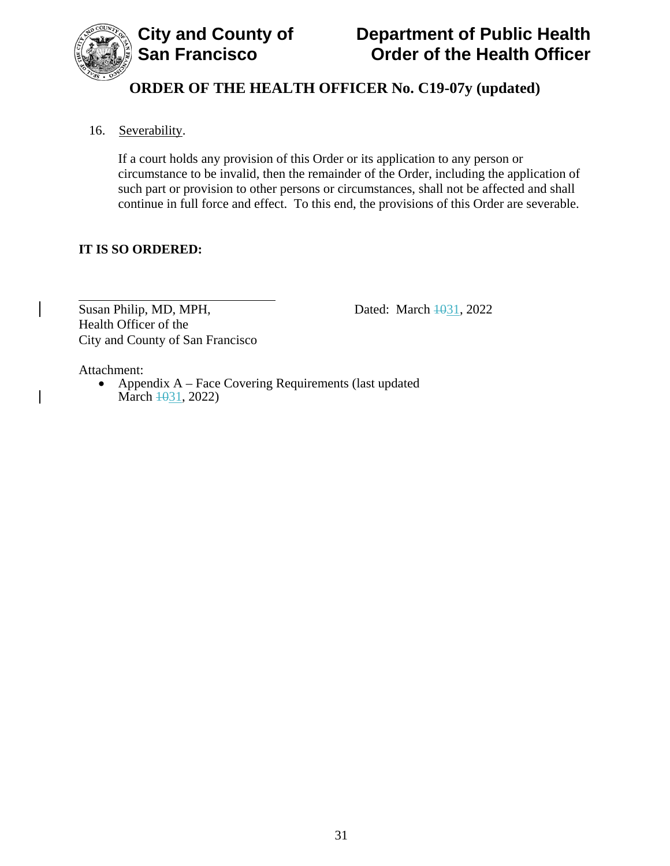

# **ORDER OF THE HEALTH OFFICER No. C19-07y (updated)**

## 16. Severability.

If a court holds any provision of this Order or its application to any person or circumstance to be invalid, then the remainder of the Order, including the application of such part or provision to other persons or circumstances, shall not be affected and shall continue in full force and effect. To this end, the provisions of this Order are severable.

### **IT IS SO ORDERED:**

Susan Philip, MD, MPH, Dated: March  $\frac{1031}{2022}$ Health Officer of the City and County of San Francisco

Attachment:

• Appendix A – Face Covering Requirements (last updated March  $\frac{1031}{2022}$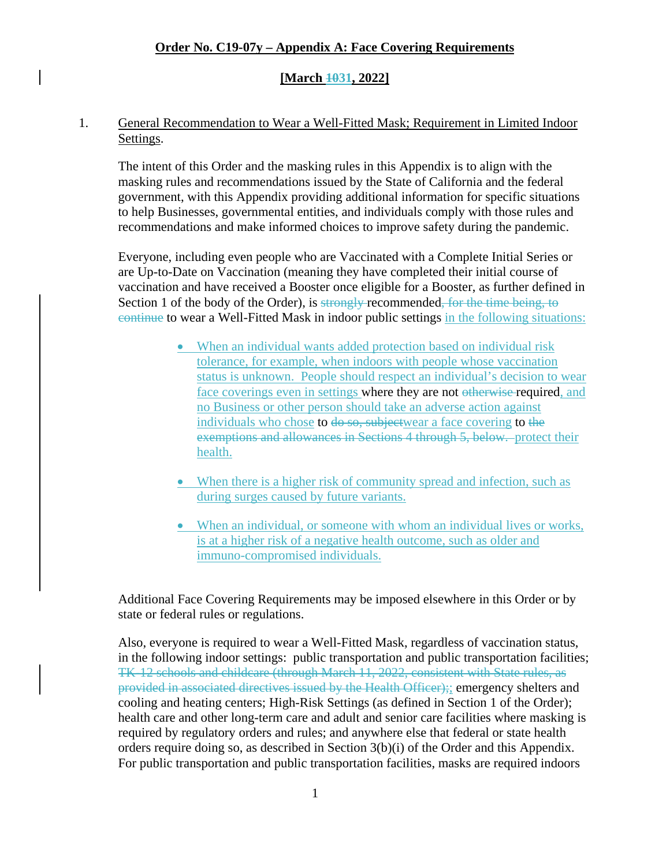#### **[March 1031, 2022]**

#### 1. General Recommendation to Wear a Well-Fitted Mask; Requirement in Limited Indoor Settings.

The intent of this Order and the masking rules in this Appendix is to align with the masking rules and recommendations issued by the State of California and the federal government, with this Appendix providing additional information for specific situations to help Businesses, governmental entities, and individuals comply with those rules and recommendations and make informed choices to improve safety during the pandemic.

Everyone, including even people who are Vaccinated with a Complete Initial Series or are Up-to-Date on Vaccination (meaning they have completed their initial course of vaccination and have received a Booster once eligible for a Booster, as further defined in Section 1 of the body of the Order), is strongly recommended, for the time being, to continue to wear a Well-Fitted Mask in indoor public settings in the following situations:

- When an individual wants added protection based on individual risk tolerance, for example, when indoors with people whose vaccination status is unknown. People should respect an individual's decision to wear face coverings even in settings where they are not otherwise required, and no Business or other person should take an adverse action against individuals who chose to <del>do so, subject</del>wear a face covering to the exemptions and allowances in Sections 4 through 5, below. protect their health.
- When there is a higher risk of community spread and infection, such as during surges caused by future variants.
- When an individual, or someone with whom an individual lives or works, is at a higher risk of a negative health outcome, such as older and immuno-compromised individuals.

Additional Face Covering Requirements may be imposed elsewhere in this Order or by state or federal rules or regulations.

Also, everyone is required to wear a Well-Fitted Mask, regardless of vaccination status, in the following indoor settings: public transportation and public transportation facilities; TK-12 schools and childcare (through March 11, 2022, consistent with State rules, as provided in associated directives issued by the Health Officer);; emergency shelters and cooling and heating centers; High-Risk Settings (as defined in Section 1 of the Order); health care and other long-term care and adult and senior care facilities where masking is required by regulatory orders and rules; and anywhere else that federal or state health orders require doing so, as described in Section 3(b)(i) of the Order and this Appendix. For public transportation and public transportation facilities, masks are required indoors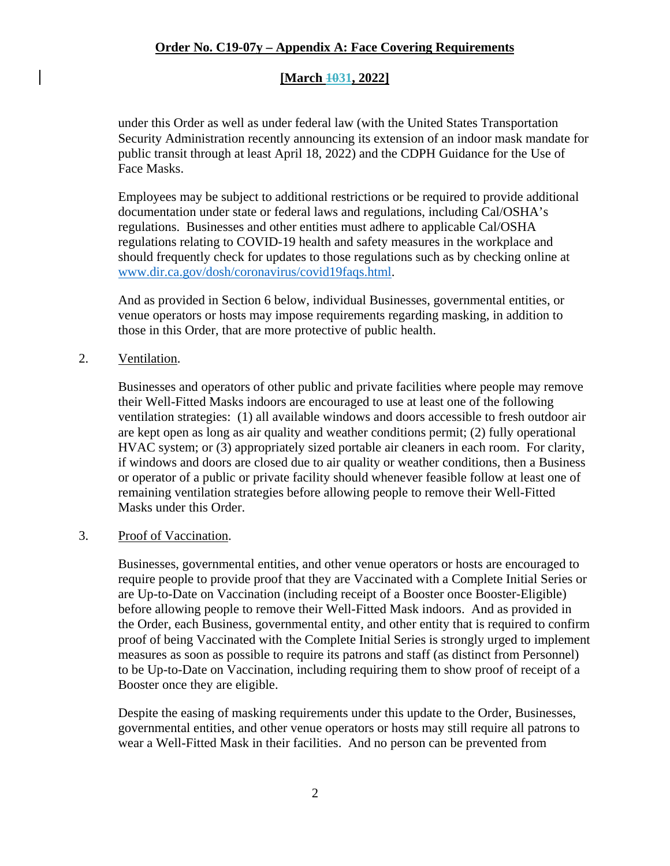## **[March 1031, 2022]**

under this Order as well as under federal law (with the United States Transportation Security Administration recently announcing its extension of an indoor mask mandate for public transit through at least April 18, 2022) and the CDPH Guidance for the Use of Face Masks.

Employees may be subject to additional restrictions or be required to provide additional documentation under state or federal laws and regulations, including Cal/OSHA's regulations. Businesses and other entities must adhere to applicable Cal/OSHA regulations relating to COVID-19 health and safety measures in the workplace and should frequently check for updates to those regulations such as by checking online at [www.dir.ca.gov/dosh/coronavirus/covid19faqs.html.](https://www.dir.ca.gov/dosh/coronavirus/covid19faqs.html)

And as provided in Section 6 below, individual Businesses, governmental entities, or venue operators or hosts may impose requirements regarding masking, in addition to those in this Order, that are more protective of public health.

2. Ventilation.

Businesses and operators of other public and private facilities where people may remove their Well-Fitted Masks indoors are encouraged to use at least one of the following ventilation strategies: (1) all available windows and doors accessible to fresh outdoor air are kept open as long as air quality and weather conditions permit; (2) fully operational HVAC system; or (3) appropriately sized portable air cleaners in each room. For clarity, if windows and doors are closed due to air quality or weather conditions, then a Business or operator of a public or private facility should whenever feasible follow at least one of remaining ventilation strategies before allowing people to remove their Well-Fitted Masks under this Order.

#### 3. Proof of Vaccination.

Businesses, governmental entities, and other venue operators or hosts are encouraged to require people to provide proof that they are Vaccinated with a Complete Initial Series or are Up-to-Date on Vaccination (including receipt of a Booster once Booster-Eligible) before allowing people to remove their Well-Fitted Mask indoors. And as provided in the Order, each Business, governmental entity, and other entity that is required to confirm proof of being Vaccinated with the Complete Initial Series is strongly urged to implement measures as soon as possible to require its patrons and staff (as distinct from Personnel) to be Up-to-Date on Vaccination, including requiring them to show proof of receipt of a Booster once they are eligible.

Despite the easing of masking requirements under this update to the Order, Businesses, governmental entities, and other venue operators or hosts may still require all patrons to wear a Well-Fitted Mask in their facilities. And no person can be prevented from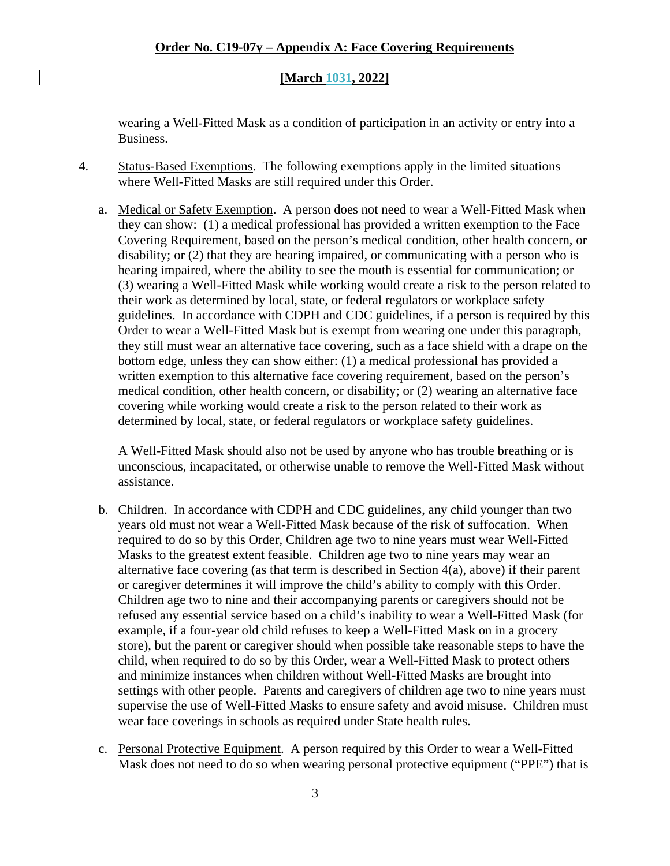#### **[March 1031, 2022]**

wearing a Well-Fitted Mask as a condition of participation in an activity or entry into a Business.

- 4. Status-Based Exemptions. The following exemptions apply in the limited situations where Well-Fitted Masks are still required under this Order.
	- a. Medical or Safety Exemption. A person does not need to wear a Well-Fitted Mask when they can show: (1) a medical professional has provided a written exemption to the Face Covering Requirement, based on the person's medical condition, other health concern, or disability; or (2) that they are hearing impaired, or communicating with a person who is hearing impaired, where the ability to see the mouth is essential for communication; or (3) wearing a Well-Fitted Mask while working would create a risk to the person related to their work as determined by local, state, or federal regulators or workplace safety guidelines. In accordance with CDPH and CDC guidelines, if a person is required by this Order to wear a Well-Fitted Mask but is exempt from wearing one under this paragraph, they still must wear an alternative face covering, such as a face shield with a drape on the bottom edge, unless they can show either: (1) a medical professional has provided a written exemption to this alternative face covering requirement, based on the person's medical condition, other health concern, or disability; or (2) wearing an alternative face covering while working would create a risk to the person related to their work as determined by local, state, or federal regulators or workplace safety guidelines.

A Well-Fitted Mask should also not be used by anyone who has trouble breathing or is unconscious, incapacitated, or otherwise unable to remove the Well-Fitted Mask without assistance.

- b. Children. In accordance with CDPH and CDC guidelines, any child younger than two years old must not wear a Well-Fitted Mask because of the risk of suffocation. When required to do so by this Order, Children age two to nine years must wear Well-Fitted Masks to the greatest extent feasible. Children age two to nine years may wear an alternative face covering (as that term is described in Section 4(a), above) if their parent or caregiver determines it will improve the child's ability to comply with this Order. Children age two to nine and their accompanying parents or caregivers should not be refused any essential service based on a child's inability to wear a Well-Fitted Mask (for example, if a four-year old child refuses to keep a Well-Fitted Mask on in a grocery store), but the parent or caregiver should when possible take reasonable steps to have the child, when required to do so by this Order, wear a Well-Fitted Mask to protect others and minimize instances when children without Well-Fitted Masks are brought into settings with other people. Parents and caregivers of children age two to nine years must supervise the use of Well-Fitted Masks to ensure safety and avoid misuse. Children must wear face coverings in schools as required under State health rules.
- c. Personal Protective Equipment. A person required by this Order to wear a Well-Fitted Mask does not need to do so when wearing personal protective equipment ("PPE") that is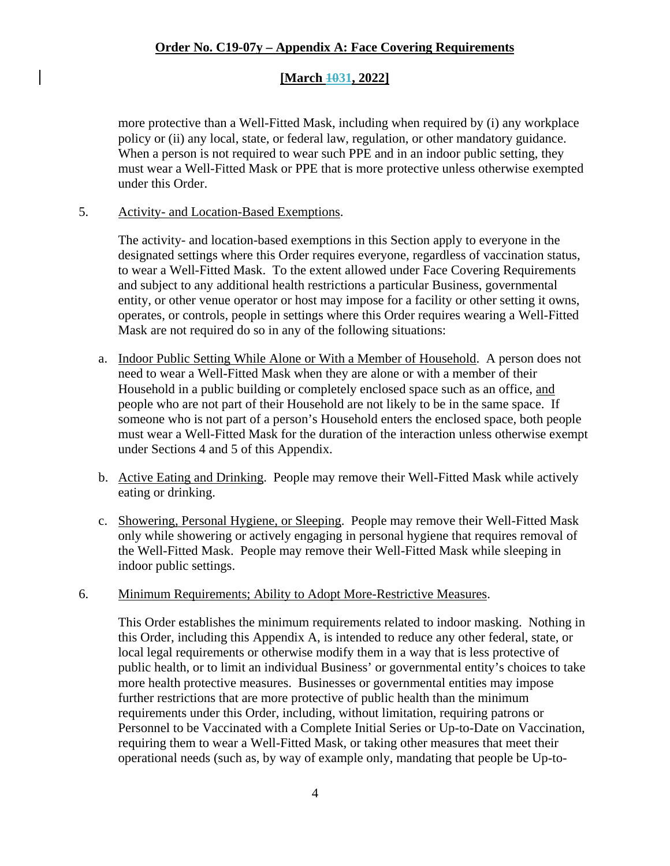### **[March 1031, 2022]**

more protective than a Well-Fitted Mask, including when required by (i) any workplace policy or (ii) any local, state, or federal law, regulation, or other mandatory guidance. When a person is not required to wear such PPE and in an indoor public setting, they must wear a Well-Fitted Mask or PPE that is more protective unless otherwise exempted under this Order.

#### 5. Activity- and Location-Based Exemptions.

The activity- and location-based exemptions in this Section apply to everyone in the designated settings where this Order requires everyone, regardless of vaccination status, to wear a Well-Fitted Mask. To the extent allowed under Face Covering Requirements and subject to any additional health restrictions a particular Business, governmental entity, or other venue operator or host may impose for a facility or other setting it owns, operates, or controls, people in settings where this Order requires wearing a Well-Fitted Mask are not required do so in any of the following situations:

- a. Indoor Public Setting While Alone or With a Member of Household. A person does not need to wear a Well-Fitted Mask when they are alone or with a member of their Household in a public building or completely enclosed space such as an office, and people who are not part of their Household are not likely to be in the same space. If someone who is not part of a person's Household enters the enclosed space, both people must wear a Well-Fitted Mask for the duration of the interaction unless otherwise exempt under Sections 4 and 5 of this Appendix.
- b. Active Eating and Drinking. People may remove their Well-Fitted Mask while actively eating or drinking.
- c. Showering, Personal Hygiene, or Sleeping. People may remove their Well-Fitted Mask only while showering or actively engaging in personal hygiene that requires removal of the Well-Fitted Mask. People may remove their Well-Fitted Mask while sleeping in indoor public settings.

#### 6. Minimum Requirements; Ability to Adopt More-Restrictive Measures.

This Order establishes the minimum requirements related to indoor masking. Nothing in this Order, including this Appendix A, is intended to reduce any other federal, state, or local legal requirements or otherwise modify them in a way that is less protective of public health, or to limit an individual Business' or governmental entity's choices to take more health protective measures. Businesses or governmental entities may impose further restrictions that are more protective of public health than the minimum requirements under this Order, including, without limitation, requiring patrons or Personnel to be Vaccinated with a Complete Initial Series or Up-to-Date on Vaccination, requiring them to wear a Well-Fitted Mask, or taking other measures that meet their operational needs (such as, by way of example only, mandating that people be Up-to-